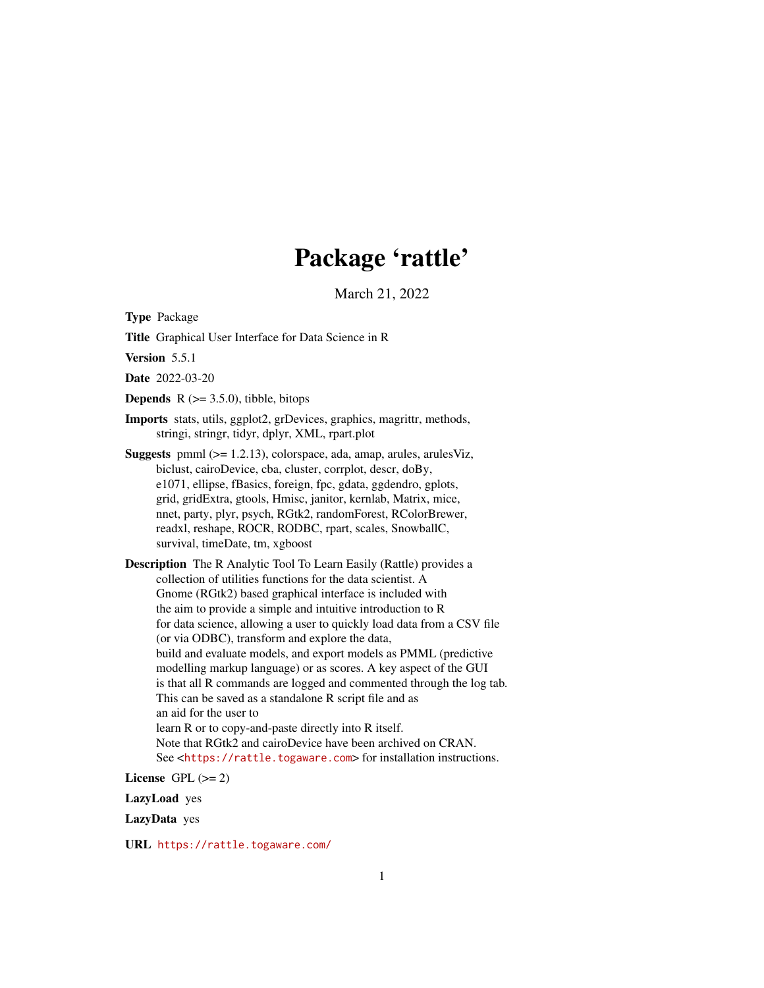# Package 'rattle'

March 21, 2022

<span id="page-0-0"></span>Type Package

Title Graphical User Interface for Data Science in R

Version 5.5.1

Date 2022-03-20

**Depends**  $R$  ( $>= 3.5.0$ ), tibble, bitops

Imports stats, utils, ggplot2, grDevices, graphics, magrittr, methods, stringi, stringr, tidyr, dplyr, XML, rpart.plot

- **Suggests** pmml  $(>= 1.2.13)$ , colorspace, ada, amap, arules, arulesViz, biclust, cairoDevice, cba, cluster, corrplot, descr, doBy, e1071, ellipse, fBasics, foreign, fpc, gdata, ggdendro, gplots, grid, gridExtra, gtools, Hmisc, janitor, kernlab, Matrix, mice, nnet, party, plyr, psych, RGtk2, randomForest, RColorBrewer, readxl, reshape, ROCR, RODBC, rpart, scales, SnowballC, survival, timeDate, tm, xgboost
- Description The R Analytic Tool To Learn Easily (Rattle) provides a collection of utilities functions for the data scientist. A Gnome (RGtk2) based graphical interface is included with the aim to provide a simple and intuitive introduction to R for data science, allowing a user to quickly load data from a CSV file (or via ODBC), transform and explore the data, build and evaluate models, and export models as PMML (predictive modelling markup language) or as scores. A key aspect of the GUI is that all R commands are logged and commented through the log tab. This can be saved as a standalone R script file and as an aid for the user to learn R or to copy-and-paste directly into R itself. Note that RGtk2 and cairoDevice have been archived on CRAN. See <<https://rattle.togaware.com>> for installation instructions.

License GPL  $(>= 2)$ 

LazyLoad yes

LazyData yes

URL <https://rattle.togaware.com/>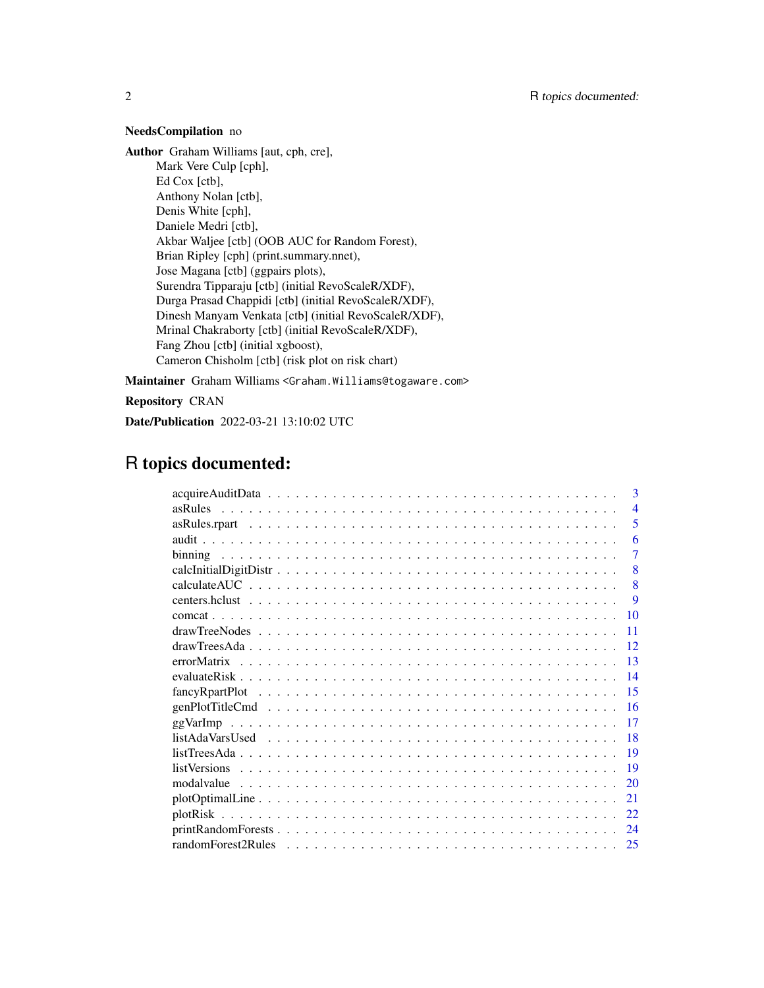# NeedsCompilation no

Author Graham Williams [aut, cph, cre], Mark Vere Culp [cph], Ed Cox [ctb], Anthony Nolan [ctb], Denis White [cph], Daniele Medri [ctb], Akbar Waljee [ctb] (OOB AUC for Random Forest), Brian Ripley [cph] (print.summary.nnet), Jose Magana [ctb] (ggpairs plots), Surendra Tipparaju [ctb] (initial RevoScaleR/XDF), Durga Prasad Chappidi [ctb] (initial RevoScaleR/XDF), Dinesh Manyam Venkata [ctb] (initial RevoScaleR/XDF), Mrinal Chakraborty [ctb] (initial RevoScaleR/XDF), Fang Zhou [ctb] (initial xgboost), Cameron Chisholm [ctb] (risk plot on risk chart)

Maintainer Graham Williams <Graham.Williams@togaware.com>

Repository CRAN

Date/Publication 2022-03-21 13:10:02 UTC

# R topics documented:

|                                                                                                                           |  |  |  |  |  |  |  |  |  |  |  |  |  |  |  |  | $\mathbf{3}$   |
|---------------------------------------------------------------------------------------------------------------------------|--|--|--|--|--|--|--|--|--|--|--|--|--|--|--|--|----------------|
|                                                                                                                           |  |  |  |  |  |  |  |  |  |  |  |  |  |  |  |  | $\overline{4}$ |
|                                                                                                                           |  |  |  |  |  |  |  |  |  |  |  |  |  |  |  |  | 5              |
|                                                                                                                           |  |  |  |  |  |  |  |  |  |  |  |  |  |  |  |  | 6              |
|                                                                                                                           |  |  |  |  |  |  |  |  |  |  |  |  |  |  |  |  | 7              |
|                                                                                                                           |  |  |  |  |  |  |  |  |  |  |  |  |  |  |  |  | 8              |
|                                                                                                                           |  |  |  |  |  |  |  |  |  |  |  |  |  |  |  |  | 8              |
|                                                                                                                           |  |  |  |  |  |  |  |  |  |  |  |  |  |  |  |  | <b>9</b>       |
|                                                                                                                           |  |  |  |  |  |  |  |  |  |  |  |  |  |  |  |  | 10             |
|                                                                                                                           |  |  |  |  |  |  |  |  |  |  |  |  |  |  |  |  | 11             |
|                                                                                                                           |  |  |  |  |  |  |  |  |  |  |  |  |  |  |  |  | 12             |
|                                                                                                                           |  |  |  |  |  |  |  |  |  |  |  |  |  |  |  |  | 13             |
|                                                                                                                           |  |  |  |  |  |  |  |  |  |  |  |  |  |  |  |  | 14             |
| $fancyR part Plot \dots \dots \dots \dots \dots \dots \dots \dots \dots \dots \dots \dots \dots \dots \dots \dots \dots$  |  |  |  |  |  |  |  |  |  |  |  |  |  |  |  |  | 15             |
| $genPlotTitleCmd \ldots \ldots \ldots \ldots \ldots \ldots \ldots \ldots \ldots \ldots \ldots \ldots \ldots$              |  |  |  |  |  |  |  |  |  |  |  |  |  |  |  |  | 16             |
|                                                                                                                           |  |  |  |  |  |  |  |  |  |  |  |  |  |  |  |  | 17             |
|                                                                                                                           |  |  |  |  |  |  |  |  |  |  |  |  |  |  |  |  | 18             |
|                                                                                                                           |  |  |  |  |  |  |  |  |  |  |  |  |  |  |  |  | -19            |
|                                                                                                                           |  |  |  |  |  |  |  |  |  |  |  |  |  |  |  |  | 19             |
|                                                                                                                           |  |  |  |  |  |  |  |  |  |  |  |  |  |  |  |  | 20             |
|                                                                                                                           |  |  |  |  |  |  |  |  |  |  |  |  |  |  |  |  | 21             |
| plotRisk                                                                                                                  |  |  |  |  |  |  |  |  |  |  |  |  |  |  |  |  | 22             |
| $printRandomForest \dots \dots \dots \dots \dots \dots \dots \dots \dots \dots \dots \dots \dots \dots \dots \dots \dots$ |  |  |  |  |  |  |  |  |  |  |  |  |  |  |  |  | 24             |
|                                                                                                                           |  |  |  |  |  |  |  |  |  |  |  |  |  |  |  |  | 25             |
|                                                                                                                           |  |  |  |  |  |  |  |  |  |  |  |  |  |  |  |  |                |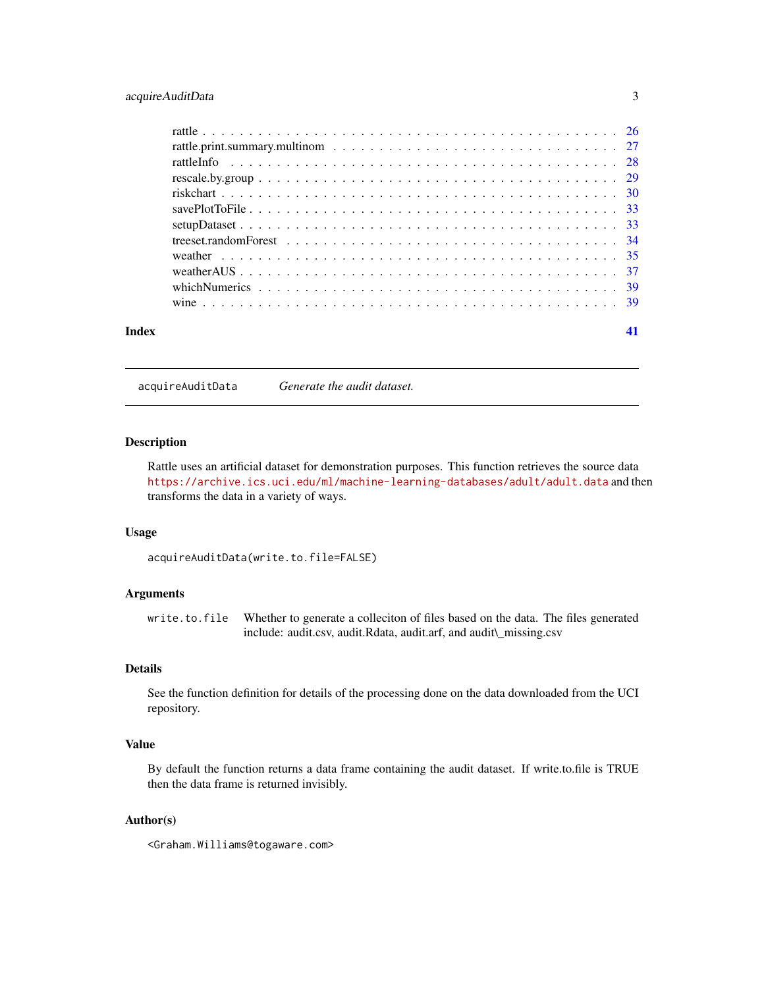# <span id="page-2-0"></span>acquireAuditData 3

| Index | 41 |
|-------|----|

acquireAuditData *Generate the audit dataset.*

# Description

Rattle uses an artificial dataset for demonstration purposes. This function retrieves the source data <https://archive.ics.uci.edu/ml/machine-learning-databases/adult/adult.data> and then transforms the data in a variety of ways.

#### Usage

acquireAuditData(write.to.file=FALSE)

# Arguments

write.to.file Whether to generate a colleciton of files based on the data. The files generated include: audit.csv, audit.Rdata, audit.arf, and audit\\_missing.csv

# Details

See the function definition for details of the processing done on the data downloaded from the UCI repository.

# Value

By default the function returns a data frame containing the audit dataset. If write.to.file is TRUE then the data frame is returned invisibly.

#### Author(s)

<Graham.Williams@togaware.com>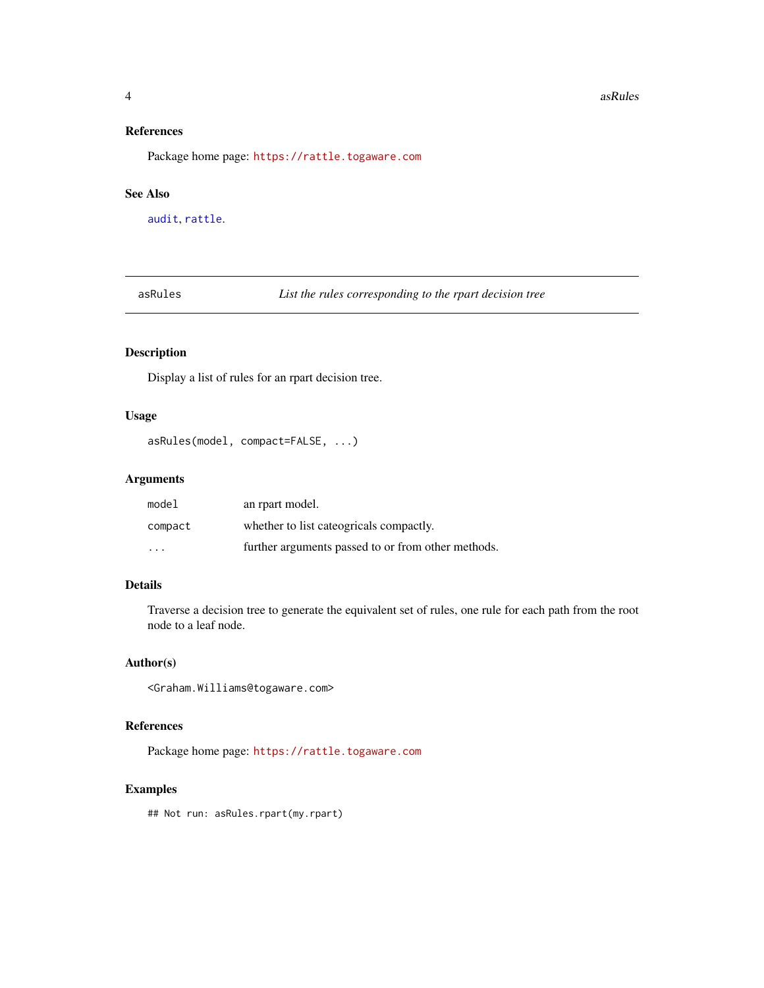#### **4** assume that the contract of the contract of the contract of the contract of the contract of the contract of the contract of the contract of the contract of the contract of the contract of the contract of the contract o

# References

Package home page: <https://rattle.togaware.com>

#### See Also

[audit](#page-5-1), [rattle](#page-25-1).

asRules *List the rules corresponding to the rpart decision tree*

# Description

Display a list of rules for an rpart decision tree.

#### Usage

```
asRules(model, compact=FALSE, ...)
```
# Arguments

| model                   | an rpart model.                                    |
|-------------------------|----------------------------------------------------|
| compact                 | whether to list cateogricals compactly.            |
| $\cdot$ $\cdot$ $\cdot$ | further arguments passed to or from other methods. |

# Details

Traverse a decision tree to generate the equivalent set of rules, one rule for each path from the root node to a leaf node.

#### Author(s)

<Graham.Williams@togaware.com>

#### References

Package home page: <https://rattle.togaware.com>

# Examples

## Not run: asRules.rpart(my.rpart)

<span id="page-3-0"></span>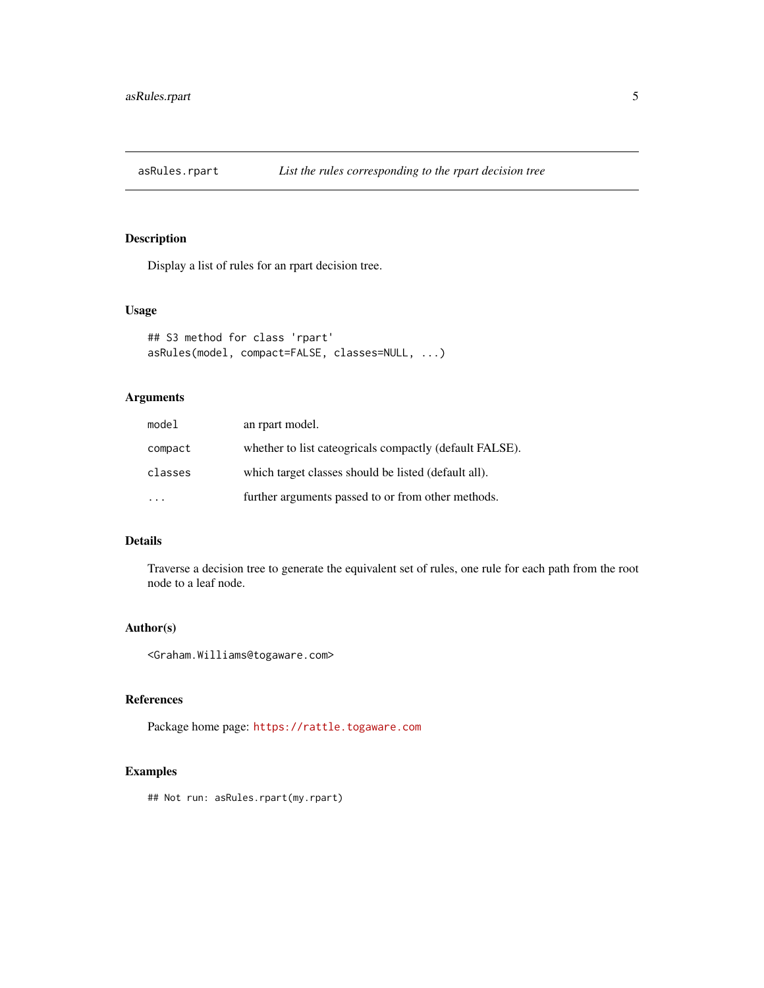<span id="page-4-0"></span>

Display a list of rules for an rpart decision tree.

#### Usage

```
## S3 method for class 'rpart'
asRules(model, compact=FALSE, classes=NULL, ...)
```
# Arguments

| model   | an rpart model.                                         |
|---------|---------------------------------------------------------|
| compact | whether to list cateogricals compactly (default FALSE). |
| classes | which target classes should be listed (default all).    |
|         | further arguments passed to or from other methods.      |

# Details

Traverse a decision tree to generate the equivalent set of rules, one rule for each path from the root node to a leaf node.

# Author(s)

<Graham.Williams@togaware.com>

# References

Package home page: <https://rattle.togaware.com>

# Examples

## Not run: asRules.rpart(my.rpart)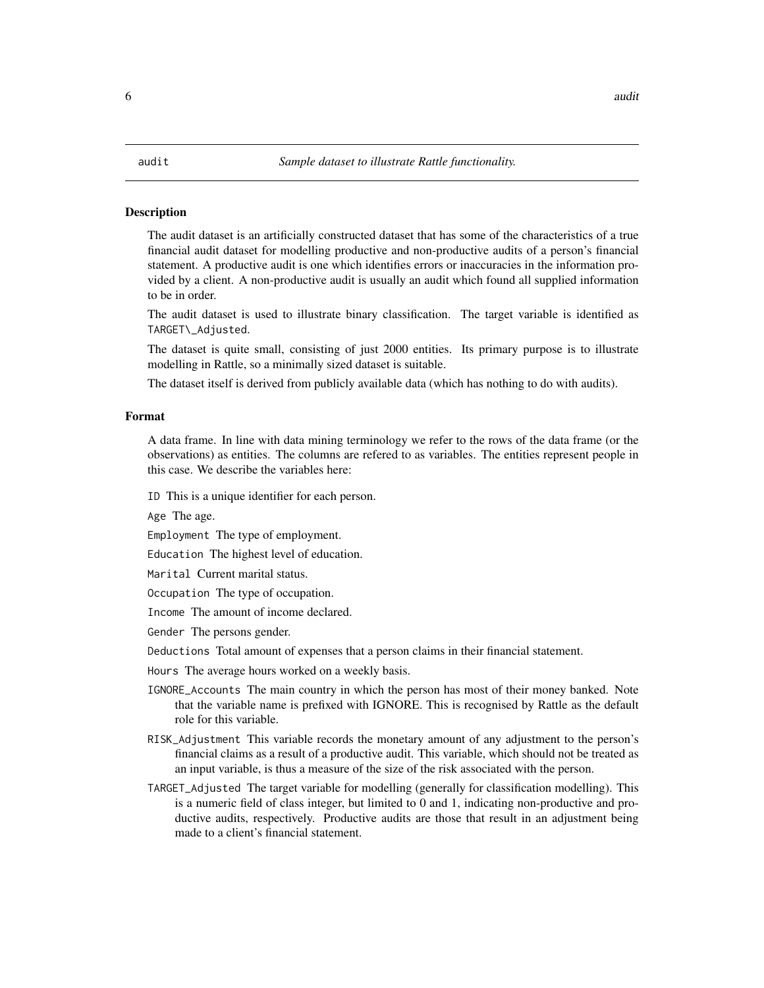<span id="page-5-1"></span><span id="page-5-0"></span>The audit dataset is an artificially constructed dataset that has some of the characteristics of a true financial audit dataset for modelling productive and non-productive audits of a person's financial statement. A productive audit is one which identifies errors or inaccuracies in the information provided by a client. A non-productive audit is usually an audit which found all supplied information to be in order.

The audit dataset is used to illustrate binary classification. The target variable is identified as TARGET\\_Adjusted.

The dataset is quite small, consisting of just 2000 entities. Its primary purpose is to illustrate modelling in Rattle, so a minimally sized dataset is suitable.

The dataset itself is derived from publicly available data (which has nothing to do with audits).

#### Format

A data frame. In line with data mining terminology we refer to the rows of the data frame (or the observations) as entities. The columns are refered to as variables. The entities represent people in this case. We describe the variables here:

ID This is a unique identifier for each person.

Age The age.

Employment The type of employment.

Education The highest level of education.

Marital Current marital status.

Occupation The type of occupation.

Income The amount of income declared.

Gender The persons gender.

Deductions Total amount of expenses that a person claims in their financial statement.

Hours The average hours worked on a weekly basis.

- IGNORE\_Accounts The main country in which the person has most of their money banked. Note that the variable name is prefixed with IGNORE. This is recognised by Rattle as the default role for this variable.
- RISK\_Adjustment This variable records the monetary amount of any adjustment to the person's financial claims as a result of a productive audit. This variable, which should not be treated as an input variable, is thus a measure of the size of the risk associated with the person.
- TARGET\_Adjusted The target variable for modelling (generally for classification modelling). This is a numeric field of class integer, but limited to 0 and 1, indicating non-productive and productive audits, respectively. Productive audits are those that result in an adjustment being made to a client's financial statement.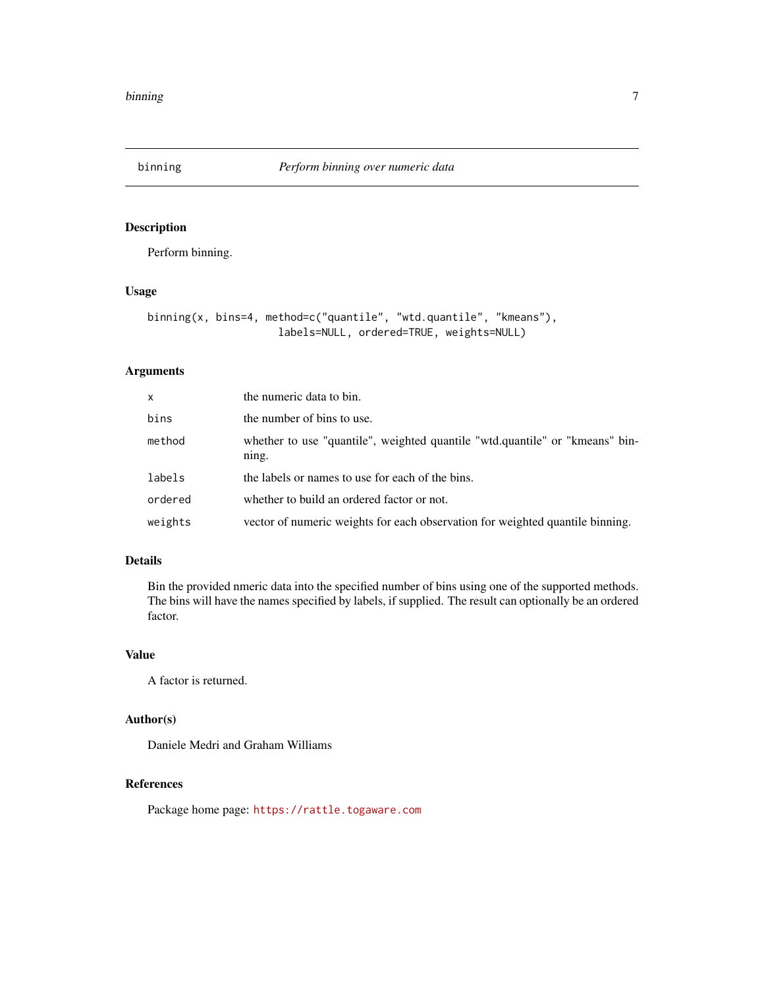<span id="page-6-0"></span>

Perform binning.

# Usage

```
binning(x, bins=4, method=c("quantile", "wtd.quantile", "kmeans"),
                     labels=NULL, ordered=TRUE, weights=NULL)
```
# Arguments

| $\mathsf{x}$ | the numeric data to bin.                                                              |
|--------------|---------------------------------------------------------------------------------------|
| bins         | the number of bins to use.                                                            |
| method       | whether to use "quantile", weighted quantile "wtd.quantile" or "kmeans" bin-<br>ning. |
| labels       | the labels or names to use for each of the bins.                                      |
| ordered      | whether to build an ordered factor or not.                                            |
| weights      | vector of numeric weights for each observation for weighted quantile binning.         |

# Details

Bin the provided nmeric data into the specified number of bins using one of the supported methods. The bins will have the names specified by labels, if supplied. The result can optionally be an ordered factor.

# Value

A factor is returned.

# Author(s)

Daniele Medri and Graham Williams

#### References

Package home page: <https://rattle.togaware.com>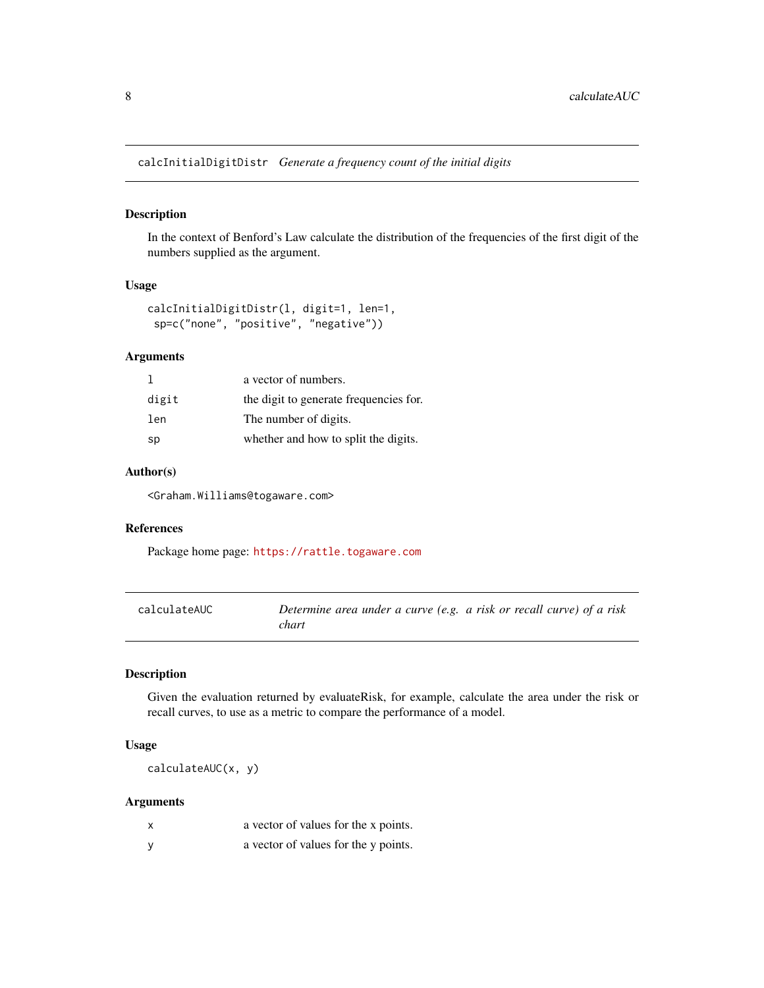<span id="page-7-0"></span>calcInitialDigitDistr *Generate a frequency count of the initial digits*

#### Description

In the context of Benford's Law calculate the distribution of the frequencies of the first digit of the numbers supplied as the argument.

#### Usage

```
calcInitialDigitDistr(l, digit=1, len=1,
sp=c("none", "positive", "negative"))
```
# Arguments

|       | a vector of numbers.                   |
|-------|----------------------------------------|
| digit | the digit to generate frequencies for. |
| len   | The number of digits.                  |
| sp    | whether and how to split the digits.   |

# Author(s)

<Graham.Williams@togaware.com>

# References

Package home page: <https://rattle.togaware.com>

| calculateAUC | Determine area under a curve (e.g. a risk or recall curve) of a risk |  |
|--------------|----------------------------------------------------------------------|--|
|              | chart                                                                |  |

# Description

Given the evaluation returned by evaluateRisk, for example, calculate the area under the risk or recall curves, to use as a metric to compare the performance of a model.

# Usage

calculateAUC(x, y)

# Arguments

| x | a vector of values for the x points. |
|---|--------------------------------------|
|   | a vector of values for the y points. |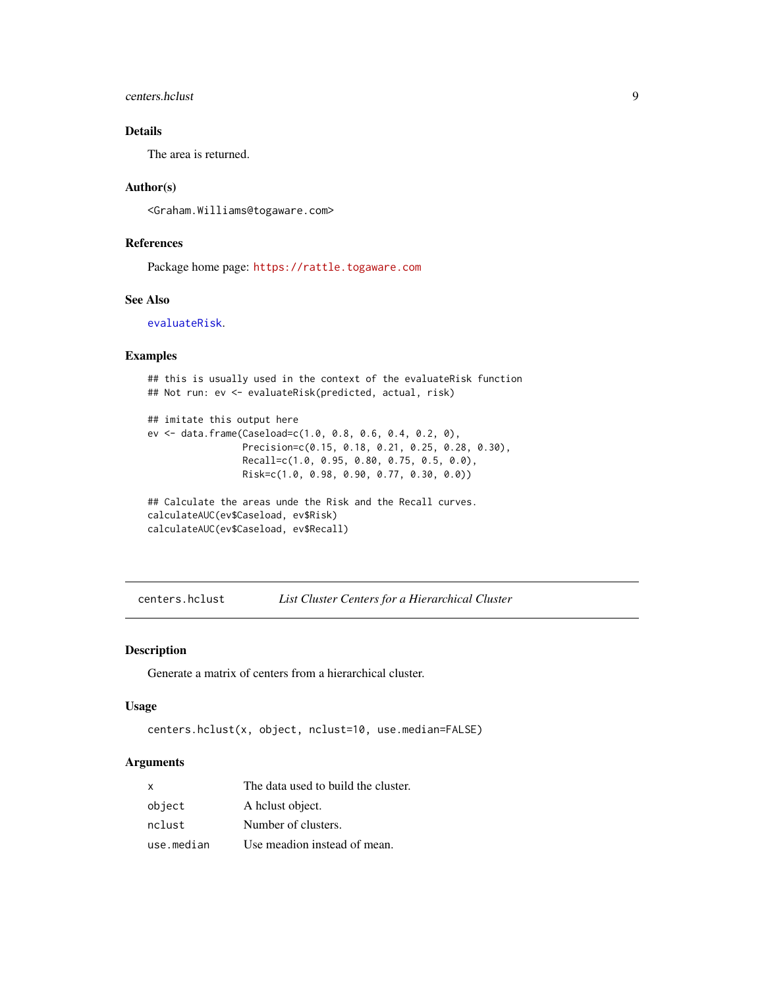# <span id="page-8-0"></span>centers.hclust 9

# Details

The area is returned.

#### Author(s)

<Graham.Williams@togaware.com>

## References

Package home page: <https://rattle.togaware.com>

#### See Also

[evaluateRisk](#page-13-1).

# Examples

```
## this is usually used in the context of the evaluateRisk function
## Not run: ev <- evaluateRisk(predicted, actual, risk)
## imitate this output here
ev <- data.frame(Caseload=c(1.0, 0.8, 0.6, 0.4, 0.2, 0),
                 Precision=c(0.15, 0.18, 0.21, 0.25, 0.28, 0.30),
                 Recall=c(1.0, 0.95, 0.80, 0.75, 0.5, 0.0),
                 Risk=c(1.0, 0.98, 0.90, 0.77, 0.30, 0.0))
## Calculate the areas unde the Risk and the Recall curves.
calculateAUC(ev$Caseload, ev$Risk)
calculateAUC(ev$Caseload, ev$Recall)
```
centers.hclust *List Cluster Centers for a Hierarchical Cluster*

#### Description

Generate a matrix of centers from a hierarchical cluster.

#### Usage

```
centers.hclust(x, object, nclust=10, use.median=FALSE)
```
# Arguments

| x          | The data used to build the cluster. |
|------------|-------------------------------------|
| object     | A helust object.                    |
| nclust     | Number of clusters.                 |
| use.median | Use meadion instead of mean.        |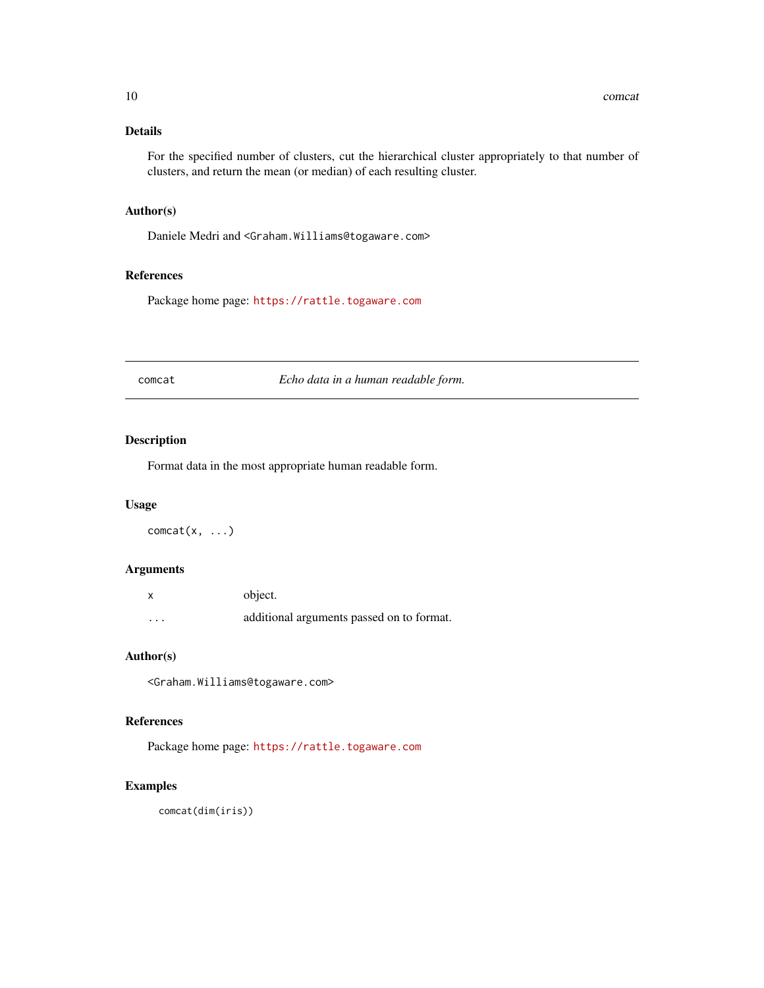# <span id="page-9-0"></span>Details

For the specified number of clusters, cut the hierarchical cluster appropriately to that number of clusters, and return the mean (or median) of each resulting cluster.

#### Author(s)

Daniele Medri and <Graham.Williams@togaware.com>

# References

Package home page: <https://rattle.togaware.com>

comcat *Echo data in a human readable form.*

# Description

Format data in the most appropriate human readable form.

#### Usage

 $connect(x, \ldots)$ 

# Arguments

|          | object.                                   |
|----------|-------------------------------------------|
| $\cdots$ | additional arguments passed on to format. |

# Author(s)

<Graham.Williams@togaware.com>

#### References

Package home page: <https://rattle.togaware.com>

# Examples

comcat(dim(iris))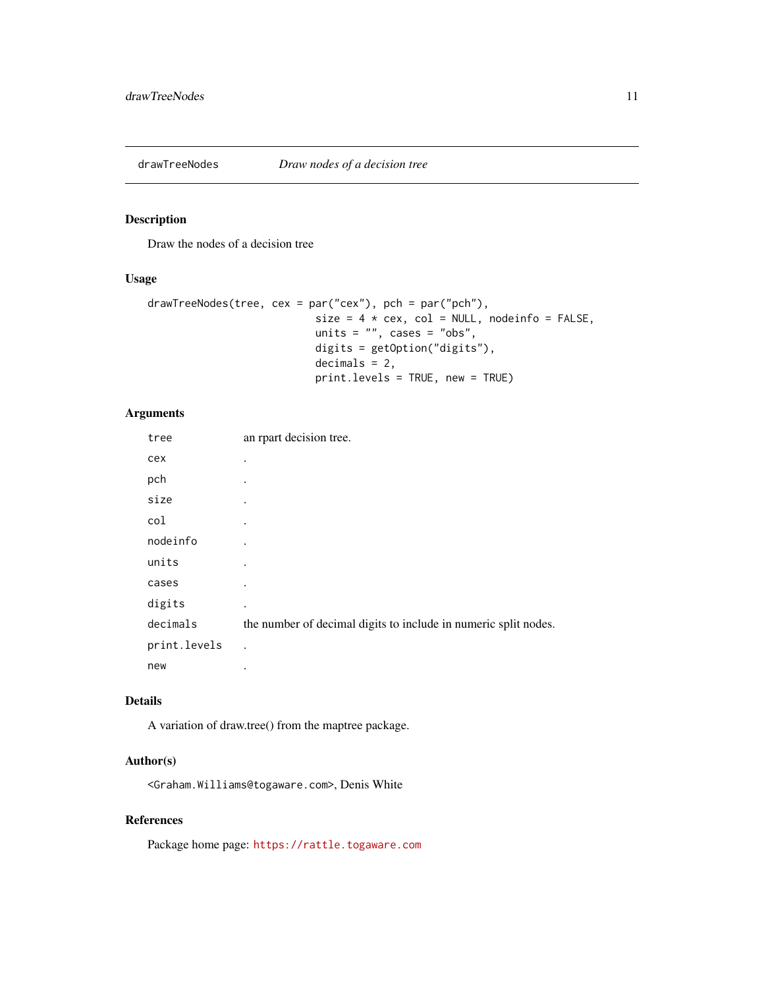<span id="page-10-0"></span>

Draw the nodes of a decision tree

#### Usage

```
drawTreeNodes(tree, cex = par("cex"), pch = par("pch"),
                          size = 4 * cex, col = NULL, nodeinfo = FALSE,
                          units = ", cases = "obs",
                          digits = getOption("digits"),
                          decimals = 2,
                          print.levels = TRUE, new = TRUE)
```
# Arguments

| tree         | an rpart decision tree.                                         |
|--------------|-----------------------------------------------------------------|
| cex          | ٠                                                               |
| pch          |                                                                 |
| size         |                                                                 |
| col          | ٠                                                               |
| nodeinfo     |                                                                 |
| units        |                                                                 |
| cases        |                                                                 |
| digits       | ٠                                                               |
| decimals     | the number of decimal digits to include in numeric split nodes. |
| print.levels |                                                                 |
| new          | ٠                                                               |

# Details

A variation of draw.tree() from the maptree package.

### Author(s)

<Graham.Williams@togaware.com>, Denis White

# References

Package home page: <https://rattle.togaware.com>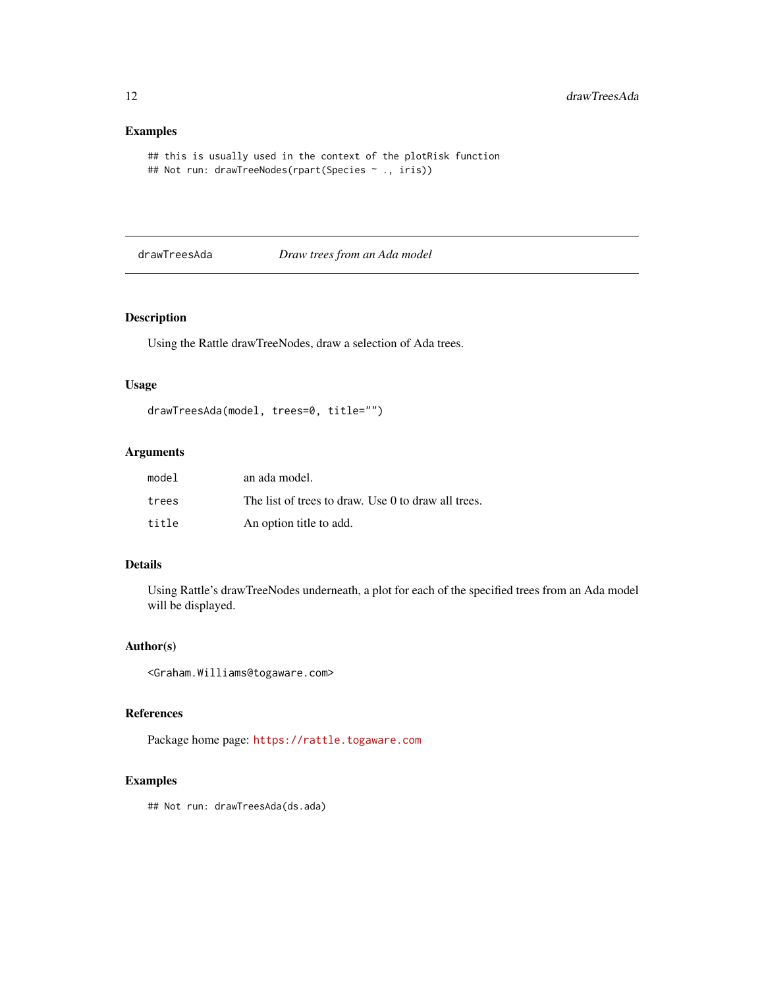# Examples

```
## this is usually used in the context of the plotRisk function
## Not run: drawTreeNodes(rpart(Species ~ ., iris))
```
# drawTreesAda *Draw trees from an Ada model*

# Description

Using the Rattle drawTreeNodes, draw a selection of Ada trees.

# Usage

```
drawTreesAda(model, trees=0, title="")
```
# Arguments

| model | an ada model.                                       |
|-------|-----------------------------------------------------|
| trees | The list of trees to draw. Use 0 to draw all trees. |
| title | An option title to add.                             |

# Details

Using Rattle's drawTreeNodes underneath, a plot for each of the specified trees from an Ada model will be displayed.

# Author(s)

<Graham.Williams@togaware.com>

# References

Package home page: <https://rattle.togaware.com>

# Examples

## Not run: drawTreesAda(ds.ada)

<span id="page-11-0"></span>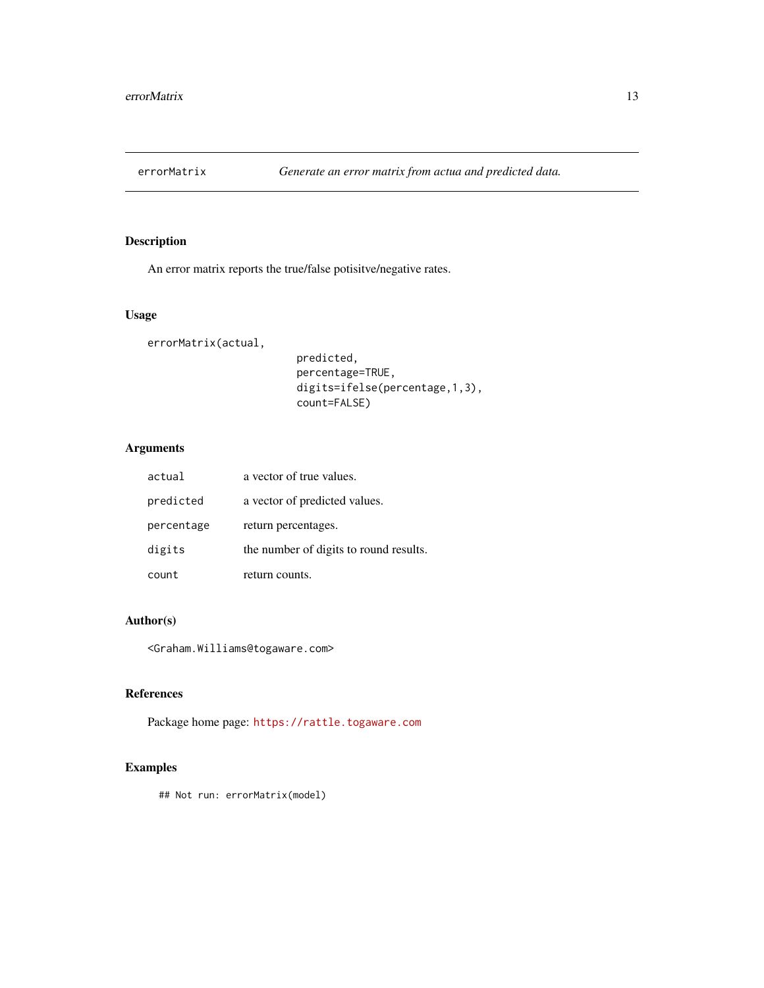<span id="page-12-0"></span>

An error matrix reports the true/false potisitve/negative rates.

# Usage

errorMatrix(actual,

predicted, percentage=TRUE, digits=ifelse(percentage,1,3), count=FALSE)

# Arguments

| actual     | a vector of true values.               |
|------------|----------------------------------------|
| predicted  | a vector of predicted values.          |
| percentage | return percentages.                    |
| digits     | the number of digits to round results. |
| count      | return counts.                         |

#### Author(s)

<Graham.Williams@togaware.com>

# References

Package home page: <https://rattle.togaware.com>

# Examples

## Not run: errorMatrix(model)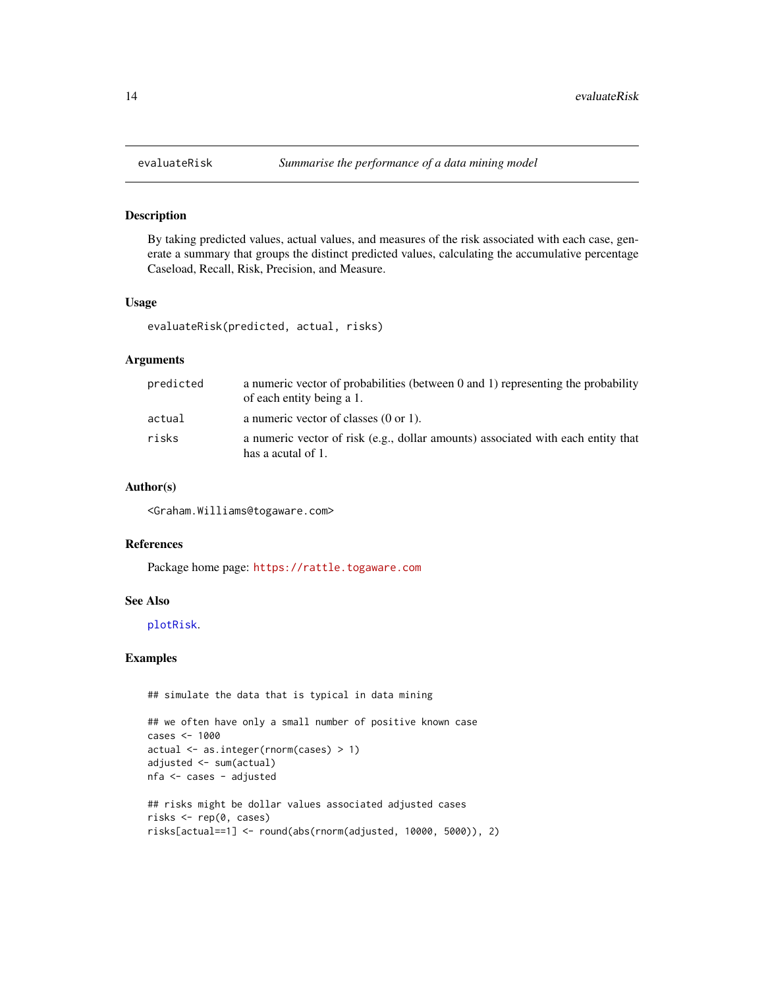By taking predicted values, actual values, and measures of the risk associated with each case, generate a summary that groups the distinct predicted values, calculating the accumulative percentage Caseload, Recall, Risk, Precision, and Measure.

# Usage

evaluateRisk(predicted, actual, risks)

# Arguments

| predicted | a numeric vector of probabilities (between $0$ and $1$ ) representing the probability<br>of each entity being a 1. |
|-----------|--------------------------------------------------------------------------------------------------------------------|
| actual    | a numeric vector of classes $(0 \text{ or } 1)$ .                                                                  |
| risks     | a numeric vector of risk (e.g., dollar amounts) associated with each entity that<br>has a acutal of 1.             |

# Author(s)

<Graham.Williams@togaware.com>

### References

Package home page: <https://rattle.togaware.com>

#### See Also

[plotRisk](#page-21-1).

# Examples

## simulate the data that is typical in data mining

```
## we often have only a small number of positive known case
cases <- 1000
actual <- as.integer(rnorm(cases) > 1)
adjusted <- sum(actual)
nfa <- cases - adjusted
## risks might be dollar values associated adjusted cases
risks <- rep(0, cases)
risks[actual==1] <- round(abs(rnorm(adjusted, 10000, 5000)), 2)
```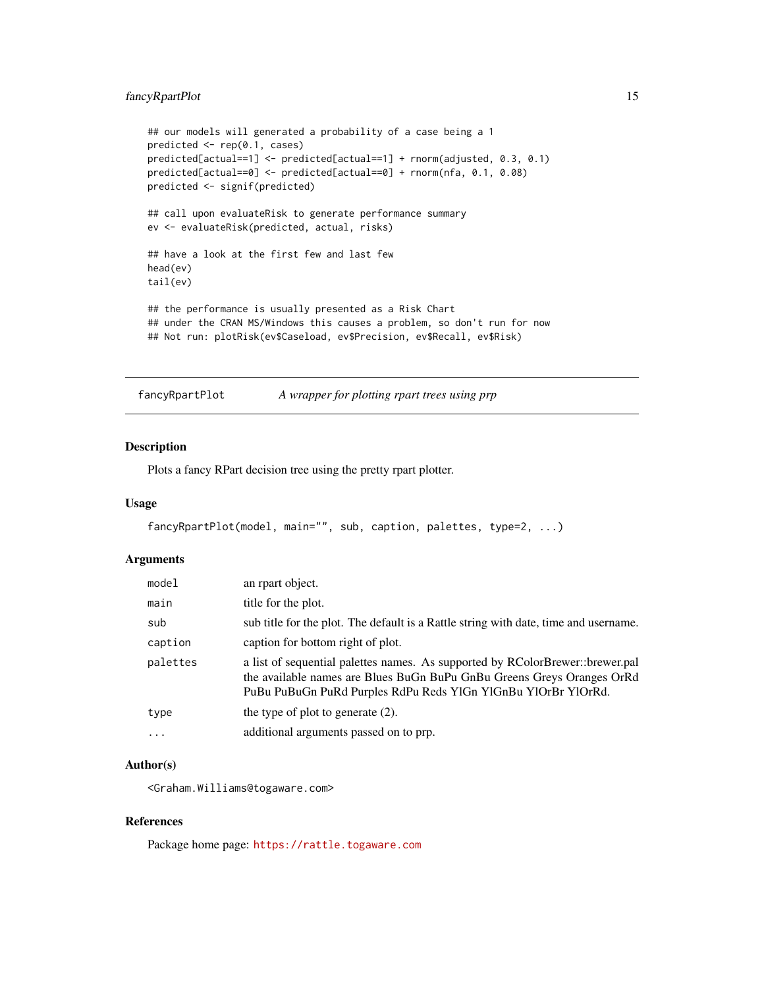# <span id="page-14-0"></span>fancyRpartPlot 15

```
## our models will generated a probability of a case being a 1
predicted <- rep(0.1, cases)
predicted[actual==1] <- predicted[actual==1] + rnorm(adjusted, 0.3, 0.1)
predicted[actual==0] <- predicted[actual==0] + rnorm(nfa, 0.1, 0.08)
predicted <- signif(predicted)
## call upon evaluateRisk to generate performance summary
ev <- evaluateRisk(predicted, actual, risks)
## have a look at the first few and last few
head(ev)
tail(ev)
## the performance is usually presented as a Risk Chart
## under the CRAN MS/Windows this causes a problem, so don't run for now
## Not run: plotRisk(ev$Caseload, ev$Precision, ev$Recall, ev$Risk)
```
fancyRpartPlot *A wrapper for plotting rpart trees using prp*

#### Description

Plots a fancy RPart decision tree using the pretty rpart plotter.

#### Usage

```
fancyRpartPlot(model, main="", sub, caption, palettes, type=2, ...)
```
# Arguments

| model    | an rpart object.                                                                                                                                                                                                         |
|----------|--------------------------------------------------------------------------------------------------------------------------------------------------------------------------------------------------------------------------|
| main     | title for the plot.                                                                                                                                                                                                      |
| sub      | sub title for the plot. The default is a Rattle string with date, time and username.                                                                                                                                     |
| caption  | caption for bottom right of plot.                                                                                                                                                                                        |
| palettes | a list of sequential palettes names. As supported by RColorBrewer::brewer.pal<br>the available names are Blues BuGn BuPu GnBu Greens Greys Oranges OrRd<br>PuBu PuBuGn PuRd Purples RdPu Reds YlGn YlGnBu YlOrBr YlOrRd. |
| type     | the type of plot to generate $(2)$ .                                                                                                                                                                                     |
| $\cdots$ | additional arguments passed on to prp.                                                                                                                                                                                   |

#### Author(s)

<Graham.Williams@togaware.com>

# References

Package home page: <https://rattle.togaware.com>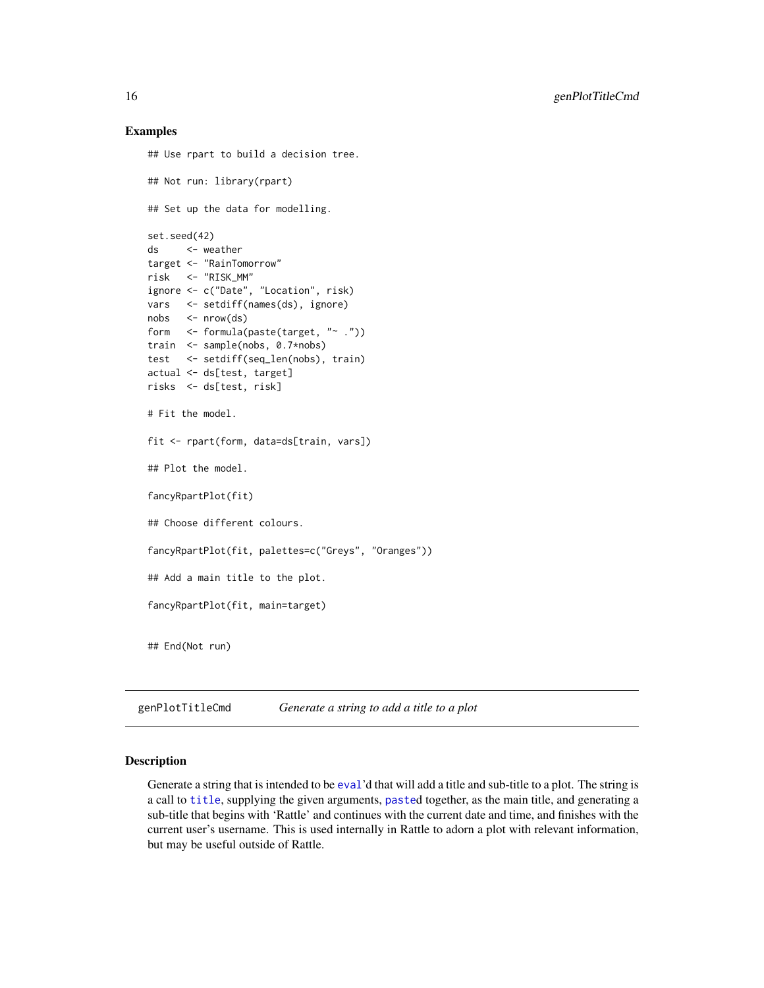#### Examples

```
## Use rpart to build a decision tree.
## Not run: library(rpart)
## Set up the data for modelling.
set.seed(42)
ds <- weather
target <- "RainTomorrow"
risk <- "RISK_MM"
ignore <- c("Date", "Location", risk)
vars <- setdiff(names(ds), ignore)
nobs <- nrow(ds)
form <- formula(paste(target, "~ ."))
train <- sample(nobs, 0.7*nobs)
test <- setdiff(seq_len(nobs), train)
actual <- ds[test, target]
risks <- ds[test, risk]
# Fit the model.
fit <- rpart(form, data=ds[train, vars])
## Plot the model.
fancyRpartPlot(fit)
## Choose different colours.
fancyRpartPlot(fit, palettes=c("Greys", "Oranges"))
## Add a main title to the plot.
fancyRpartPlot(fit, main=target)
## End(Not run)
```
<span id="page-15-1"></span>genPlotTitleCmd *Generate a string to add a title to a plot*

# Description

Generate a string that is intended to be [eval](#page-0-0)'d that will add a title and sub-title to a plot. The string is a call to [title](#page-0-0), supplying the given arguments, [paste](#page-0-0)d together, as the main title, and generating a sub-title that begins with 'Rattle' and continues with the current date and time, and finishes with the current user's username. This is used internally in Rattle to adorn a plot with relevant information, but may be useful outside of Rattle.

<span id="page-15-0"></span>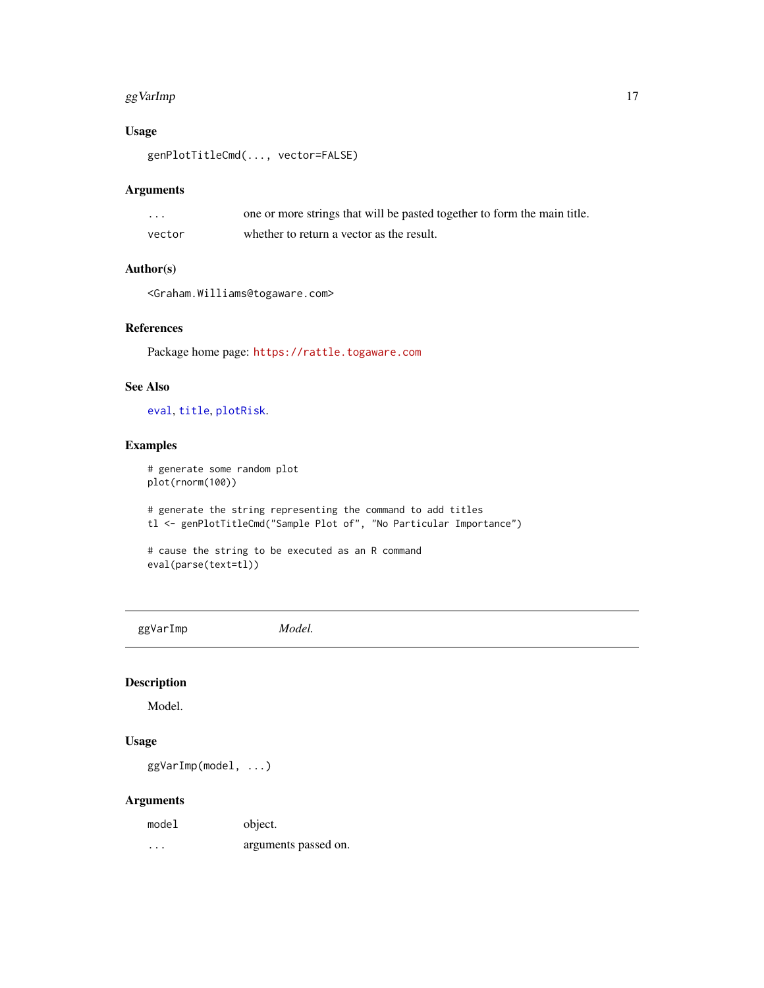#### <span id="page-16-0"></span>gg VarImp 17

# Usage

genPlotTitleCmd(..., vector=FALSE)

# Arguments

| $\cdot$ | one or more strings that will be pasted together to form the main title. |
|---------|--------------------------------------------------------------------------|
| vector  | whether to return a vector as the result.                                |

# Author(s)

<Graham.Williams@togaware.com>

# References

Package home page: <https://rattle.togaware.com>

# See Also

[eval](#page-0-0), [title](#page-0-0), [plotRisk](#page-21-1).

# Examples

```
# generate some random plot
plot(rnorm(100))
```
# generate the string representing the command to add titles tl <- genPlotTitleCmd("Sample Plot of", "No Particular Importance")

```
# cause the string to be executed as an R command
eval(parse(text=tl))
```
ggVarImp *Model.*

# Description

Model.

# Usage

ggVarImp(model, ...)

#### Arguments

| model | object.              |
|-------|----------------------|
| .     | arguments passed on. |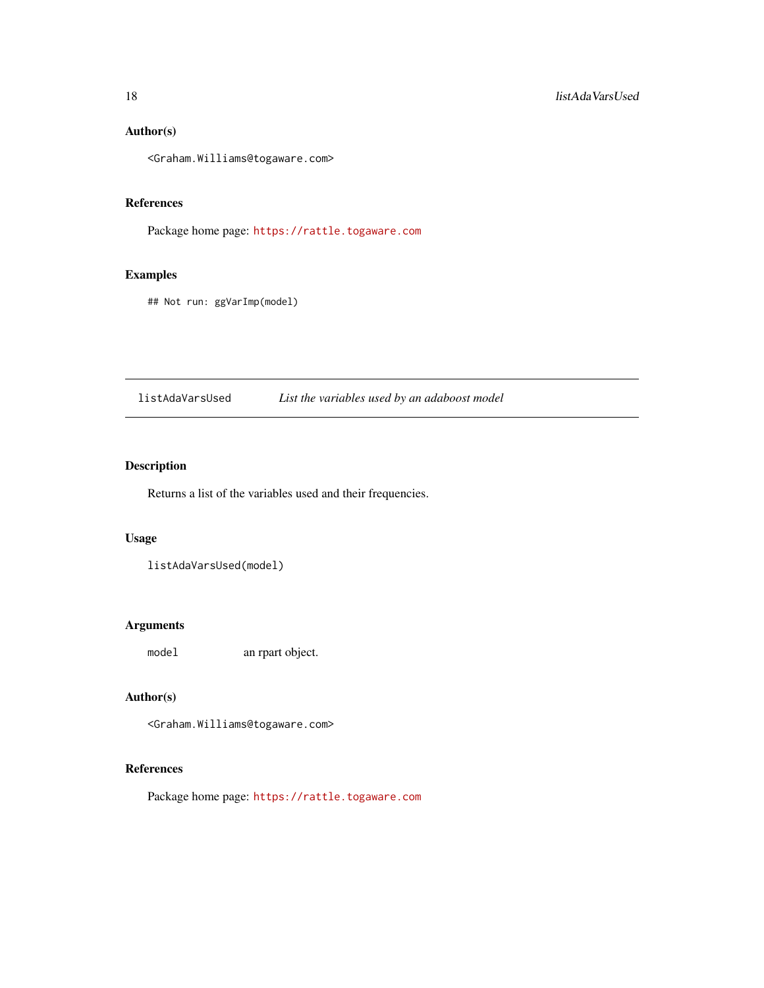# <span id="page-17-0"></span>Author(s)

<Graham.Williams@togaware.com>

# References

Package home page: <https://rattle.togaware.com>

# Examples

## Not run: ggVarImp(model)

listAdaVarsUsed *List the variables used by an adaboost model*

# Description

Returns a list of the variables used and their frequencies.

# Usage

listAdaVarsUsed(model)

# Arguments

model an rpart object.

# Author(s)

<Graham.Williams@togaware.com>

# References

Package home page: <https://rattle.togaware.com>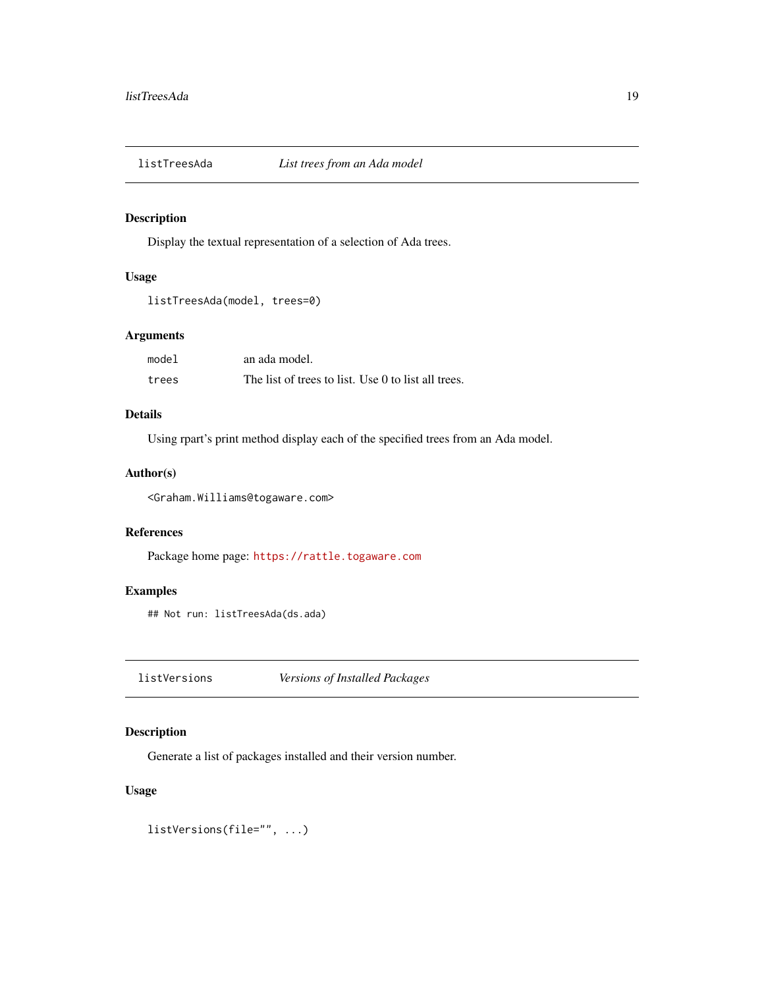<span id="page-18-0"></span>

Display the textual representation of a selection of Ada trees.

# Usage

```
listTreesAda(model, trees=0)
```
# Arguments

| model | an ada model.                                       |
|-------|-----------------------------------------------------|
| trees | The list of trees to list. Use 0 to list all trees. |

# Details

Using rpart's print method display each of the specified trees from an Ada model.

# Author(s)

<Graham.Williams@togaware.com>

# References

Package home page: <https://rattle.togaware.com>

# Examples

## Not run: listTreesAda(ds.ada)

listVersions *Versions of Installed Packages*

# Description

Generate a list of packages installed and their version number.

### Usage

listVersions(file="", ...)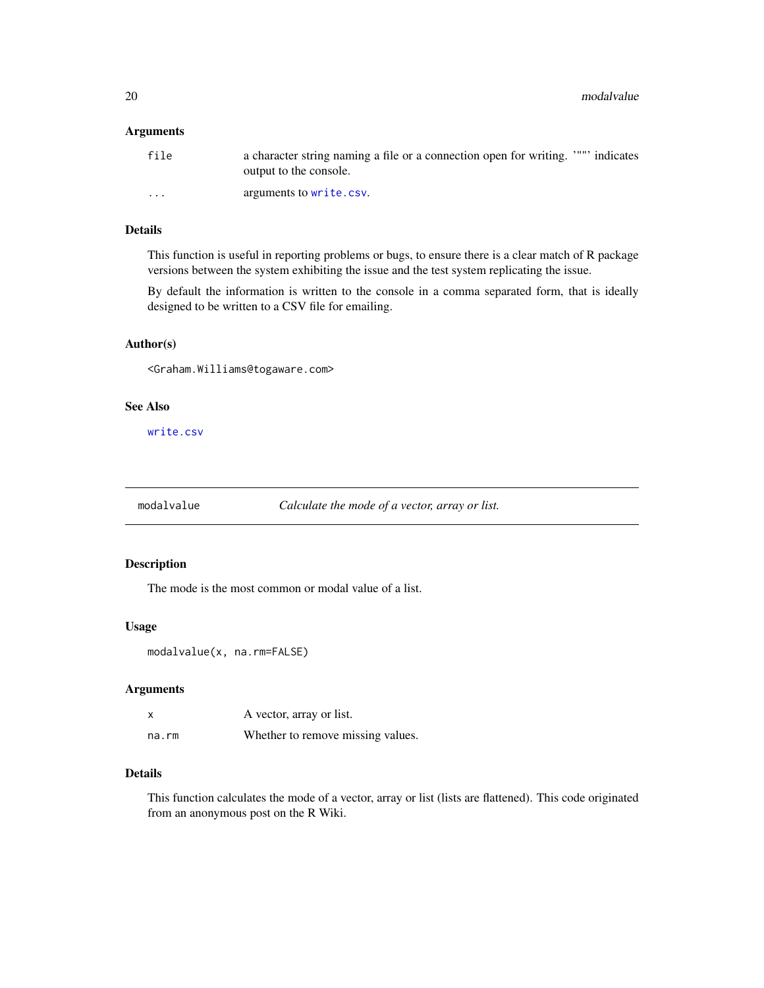<span id="page-19-0"></span>20 modalvalue et al. 200 modalvalue et al. 200 modalvalue et al. 200 modalvalue et al. 200 modalvalue

# Arguments

| file     | a character string naming a file or a connection open for writing. """ indicates<br>output to the console. |
|----------|------------------------------------------------------------------------------------------------------------|
| $\cdots$ | arguments to write.csv.                                                                                    |

#### Details

This function is useful in reporting problems or bugs, to ensure there is a clear match of R package versions between the system exhibiting the issue and the test system replicating the issue.

By default the information is written to the console in a comma separated form, that is ideally designed to be written to a CSV file for emailing.

# Author(s)

<Graham.Williams@togaware.com>

# See Also

[write.csv](#page-0-0)

modalvalue *Calculate the mode of a vector, array or list.*

# Description

The mode is the most common or modal value of a list.

#### Usage

```
modalvalue(x, na.rm=FALSE)
```
# Arguments

| x     | A vector, array or list.          |
|-------|-----------------------------------|
| na.rm | Whether to remove missing values. |

#### Details

This function calculates the mode of a vector, array or list (lists are flattened). This code originated from an anonymous post on the R Wiki.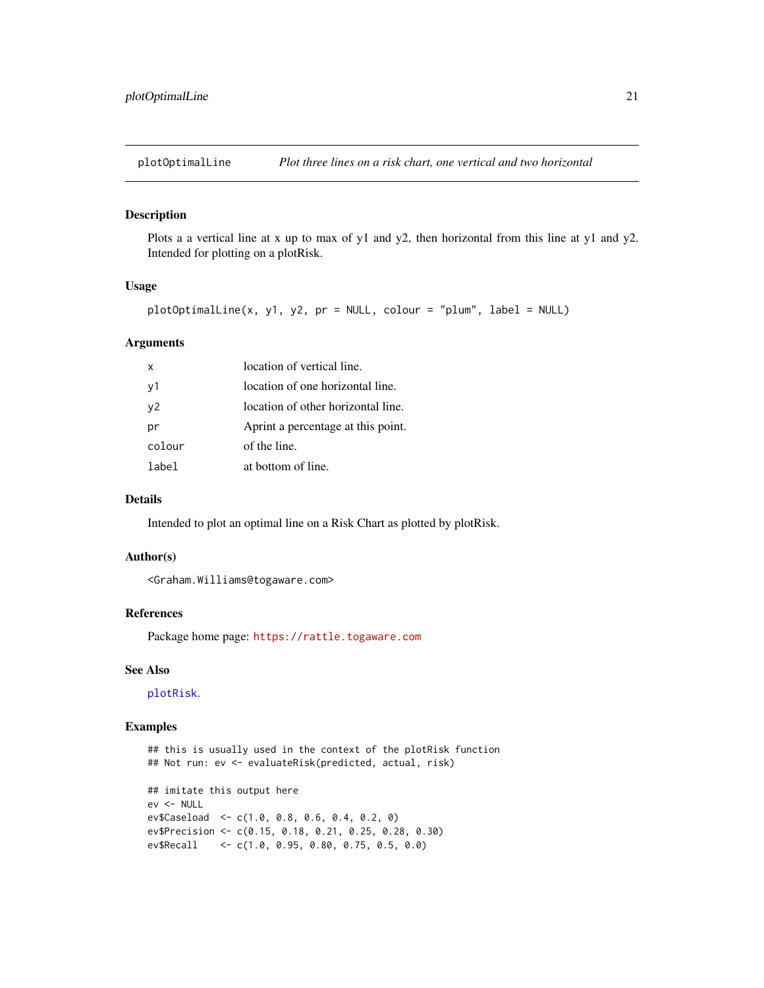<span id="page-20-0"></span>

Plots a a vertical line at x up to max of y1 and y2, then horizontal from this line at y1 and y2. Intended for plotting on a plotRisk.

#### Usage

plotOptimalLine(x, y1, y2, pr = NULL, colour = "plum", label = NULL)

# Arguments

| x              | location of vertical line.         |
|----------------|------------------------------------|
| v1             | location of one horizontal line.   |
| v <sub>2</sub> | location of other horizontal line. |
| рr             | Aprint a percentage at this point. |
| colour         | of the line.                       |
| lahel          | at bottom of line.                 |

#### Details

Intended to plot an optimal line on a Risk Chart as plotted by plotRisk.

#### Author(s)

<Graham.Williams@togaware.com>

# References

Package home page: <https://rattle.togaware.com>

# See Also

[plotRisk](#page-21-1).

# Examples

```
## this is usually used in the context of the plotRisk function
## Not run: ev <- evaluateRisk(predicted, actual, risk)
## imitate this output here
ev <- NULL
ev$Caseload <- c(1.0, 0.8, 0.6, 0.4, 0.2, 0)
ev$Precision <- c(0.15, 0.18, 0.21, 0.25, 0.28, 0.30)
ev$Recall <- c(1.0, 0.95, 0.80, 0.75, 0.5, 0.0)
```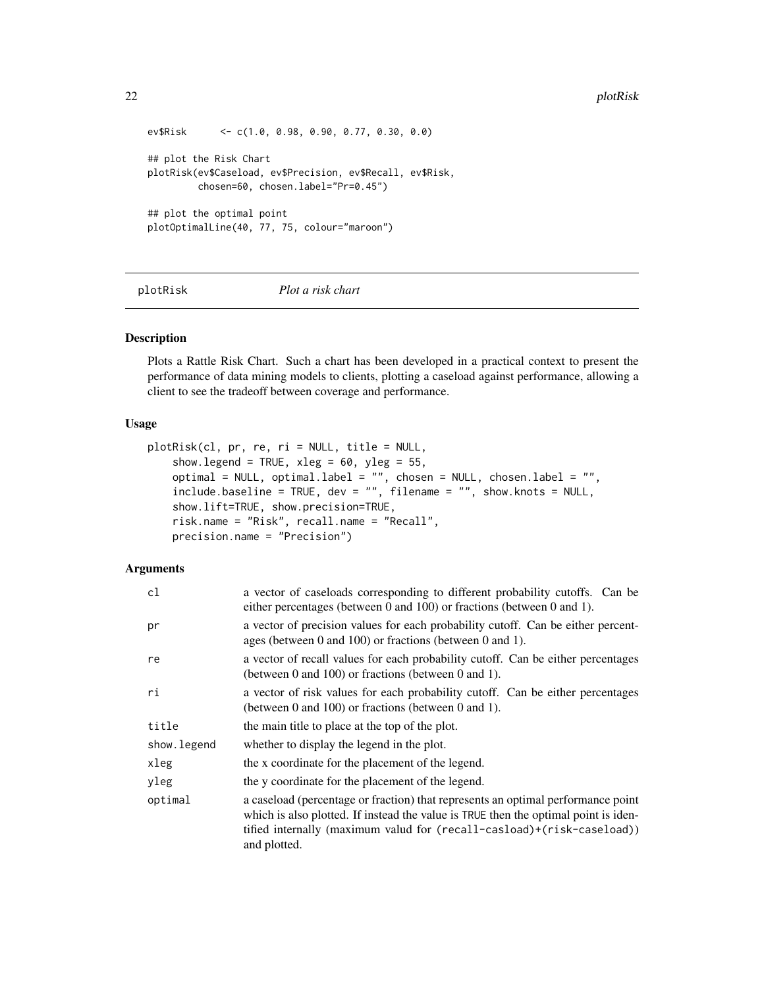```
ev$Risk <- c(1.0, 0.98, 0.90, 0.77, 0.30, 0.0)
## plot the Risk Chart
plotRisk(ev$Caseload, ev$Precision, ev$Recall, ev$Risk,
        chosen=60, chosen.label="Pr=0.45")
## plot the optimal point
plotOptimalLine(40, 77, 75, colour="maroon")
```
<span id="page-21-1"></span>plotRisk *Plot a risk chart*

#### Description

Plots a Rattle Risk Chart. Such a chart has been developed in a practical context to present the performance of data mining models to clients, plotting a caseload against performance, allowing a client to see the tradeoff between coverage and performance.

#### Usage

```
plotRisk(cl, pr, re, ri = NULL, title = NULL,
    show.legend = TRUE, xleg = 60, yleg = 55,
    optimal = NULL, optimal.label = "", chosen = NULL, chosen.label = "",
   include.baseline = TRUE, dev = "", filename = "", show.knots = NULL,
    show.lift=TRUE, show.precision=TRUE,
   risk.name = "Risk", recall.name = "Recall",
   precision.name = "Precision")
```
#### **Arguments**

| cl           | a vector of caseloads corresponding to different probability cutoffs. Can be<br>either percentages (between 0 and 100) or fractions (between 0 and 1).                                                                                                            |
|--------------|-------------------------------------------------------------------------------------------------------------------------------------------------------------------------------------------------------------------------------------------------------------------|
| pr           | a vector of precision values for each probability cutoff. Can be either percent-<br>ages (between 0 and 100) or fractions (between 0 and 1).                                                                                                                      |
| re           | a vector of recall values for each probability cutoff. Can be either percentages<br>(between 0 and 100) or fractions (between 0 and 1).                                                                                                                           |
| ri           | a vector of risk values for each probability cutoff. Can be either percentages<br>(between 0 and 100) or fractions (between 0 and 1).                                                                                                                             |
| title        | the main title to place at the top of the plot.                                                                                                                                                                                                                   |
| show. legend | whether to display the legend in the plot.                                                                                                                                                                                                                        |
| xleg         | the x coordinate for the placement of the legend.                                                                                                                                                                                                                 |
| yleg         | the y coordinate for the placement of the legend.                                                                                                                                                                                                                 |
| optimal      | a caseload (percentage or fraction) that represents an optimal performance point<br>which is also plotted. If instead the value is TRUE then the optimal point is iden-<br>tified internally (maximum valud for (recall-casload)+(risk-caseload))<br>and plotted. |

<span id="page-21-0"></span>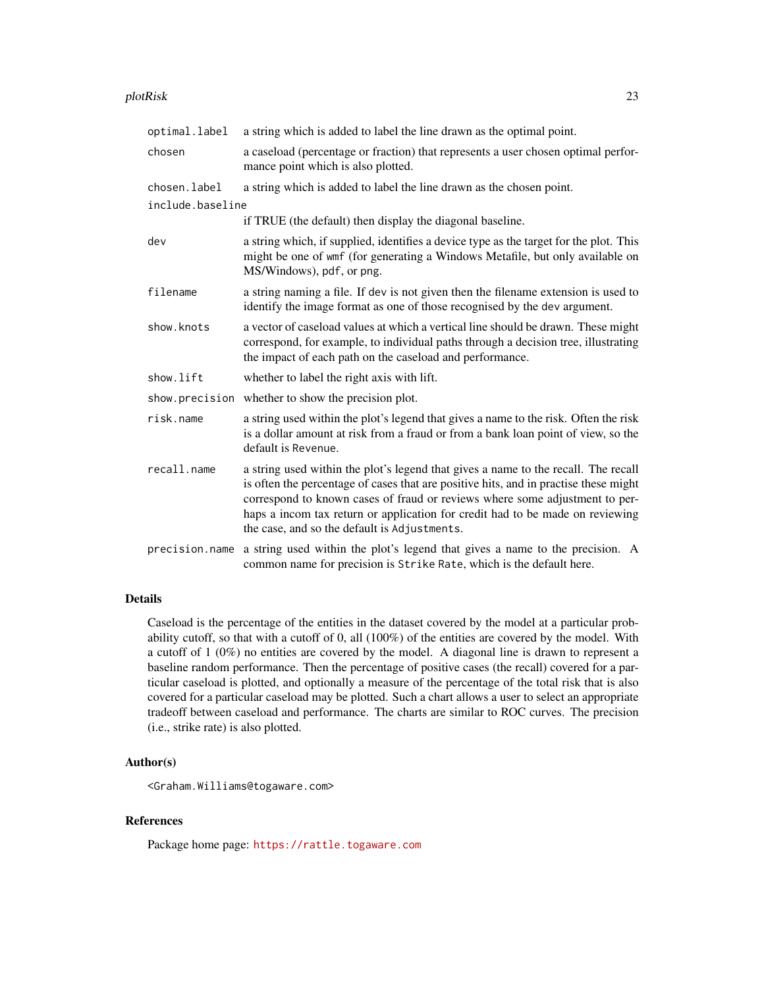#### plotRisk 23

| optimal.label    | a string which is added to label the line drawn as the optimal point.                                                                                                                                                                                                                                                                                                                      |
|------------------|--------------------------------------------------------------------------------------------------------------------------------------------------------------------------------------------------------------------------------------------------------------------------------------------------------------------------------------------------------------------------------------------|
| chosen           | a caseload (percentage or fraction) that represents a user chosen optimal perfor-<br>mance point which is also plotted.                                                                                                                                                                                                                                                                    |
| chosen.label     | a string which is added to label the line drawn as the chosen point.                                                                                                                                                                                                                                                                                                                       |
| include.baseline |                                                                                                                                                                                                                                                                                                                                                                                            |
|                  | if TRUE (the default) then display the diagonal baseline.                                                                                                                                                                                                                                                                                                                                  |
| dev              | a string which, if supplied, identifies a device type as the target for the plot. This<br>might be one of wmf (for generating a Windows Metafile, but only available on<br>MS/Windows), pdf, or png.                                                                                                                                                                                       |
| filename         | a string naming a file. If dev is not given then the filename extension is used to<br>identify the image format as one of those recognised by the dev argument.                                                                                                                                                                                                                            |
| show.knots       | a vector of caseload values at which a vertical line should be drawn. These might<br>correspond, for example, to individual paths through a decision tree, illustrating<br>the impact of each path on the caseload and performance.                                                                                                                                                        |
| show.lift        | whether to label the right axis with lift.                                                                                                                                                                                                                                                                                                                                                 |
|                  | show.precision whether to show the precision plot.                                                                                                                                                                                                                                                                                                                                         |
| risk.name        | a string used within the plot's legend that gives a name to the risk. Often the risk<br>is a dollar amount at risk from a fraud or from a bank loan point of view, so the<br>default is Revenue.                                                                                                                                                                                           |
| recall.name      | a string used within the plot's legend that gives a name to the recall. The recall<br>is often the percentage of cases that are positive hits, and in practise these might<br>correspond to known cases of fraud or reviews where some adjustment to per-<br>haps a incom tax return or application for credit had to be made on reviewing<br>the case, and so the default is Adjustments. |
| precision.name   | a string used within the plot's legend that gives a name to the precision. A<br>common name for precision is Strike Rate, which is the default here.                                                                                                                                                                                                                                       |

# Details

Caseload is the percentage of the entities in the dataset covered by the model at a particular probability cutoff, so that with a cutoff of 0, all (100%) of the entities are covered by the model. With a cutoff of 1 (0%) no entities are covered by the model. A diagonal line is drawn to represent a baseline random performance. Then the percentage of positive cases (the recall) covered for a particular caseload is plotted, and optionally a measure of the percentage of the total risk that is also covered for a particular caseload may be plotted. Such a chart allows a user to select an appropriate tradeoff between caseload and performance. The charts are similar to ROC curves. The precision (i.e., strike rate) is also plotted.

# Author(s)

<Graham.Williams@togaware.com>

# References

Package home page: <https://rattle.togaware.com>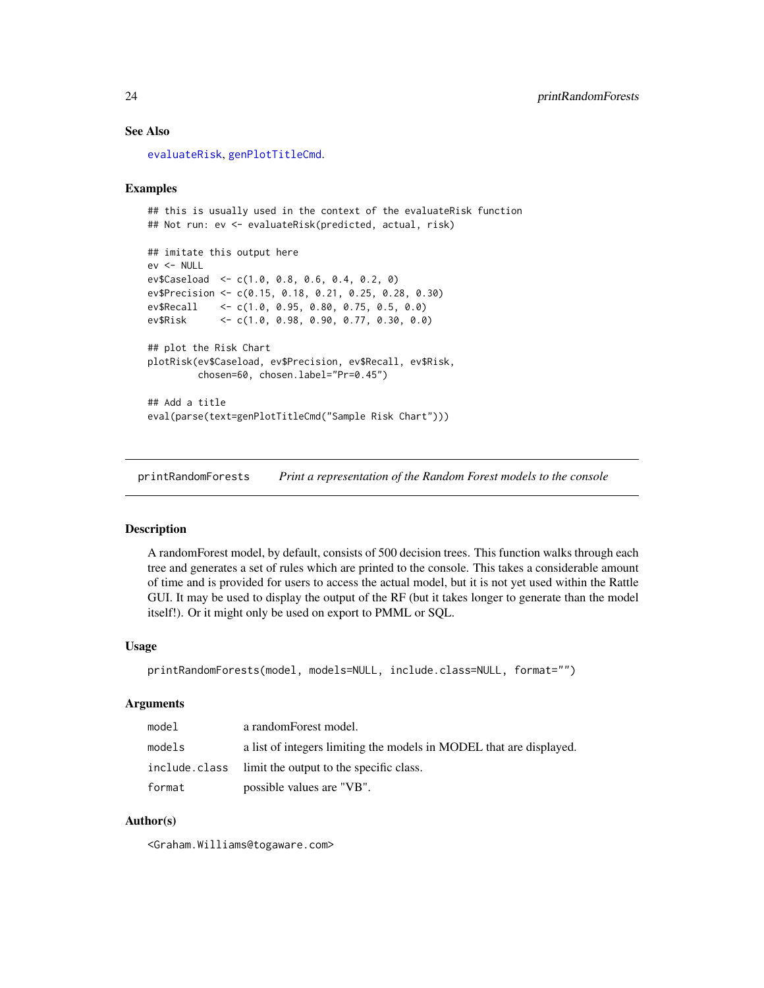#### See Also

[evaluateRisk](#page-13-1), [genPlotTitleCmd](#page-15-1).

### Examples

```
## this is usually used in the context of the evaluateRisk function
## Not run: ev <- evaluateRisk(predicted, actual, risk)
```

```
## imitate this output here
ev <- NULL
ev$Caseload <- c(1.0, 0.8, 0.6, 0.4, 0.2, 0)
ev$Precision <- c(0.15, 0.18, 0.21, 0.25, 0.28, 0.30)
ev$Recall <- c(1.0, 0.95, 0.80, 0.75, 0.5, 0.0)
ev$Risk <- c(1.0, 0.98, 0.90, 0.77, 0.30, 0.0)
## plot the Risk Chart
plotRisk(ev$Caseload, ev$Precision, ev$Recall, ev$Risk,
         chosen=60, chosen.label="Pr=0.45")
## Add a title
eval(parse(text=genPlotTitleCmd("Sample Risk Chart")))
```
printRandomForests *Print a representation of the Random Forest models to the console*

#### Description

A randomForest model, by default, consists of 500 decision trees. This function walks through each tree and generates a set of rules which are printed to the console. This takes a considerable amount of time and is provided for users to access the actual model, but it is not yet used within the Rattle GUI. It may be used to display the output of the RF (but it takes longer to generate than the model itself!). Or it might only be used on export to PMML or SQL.

#### Usage

```
printRandomForests(model, models=NULL, include.class=NULL, format="")
```
#### Arguments

| model         | a randomForest model.                                               |
|---------------|---------------------------------------------------------------------|
| models        | a list of integers limiting the models in MODEL that are displayed. |
| include.class | limit the output to the specific class.                             |
| format        | possible values are "VB".                                           |

### Author(s)

<Graham.Williams@togaware.com>

<span id="page-23-0"></span>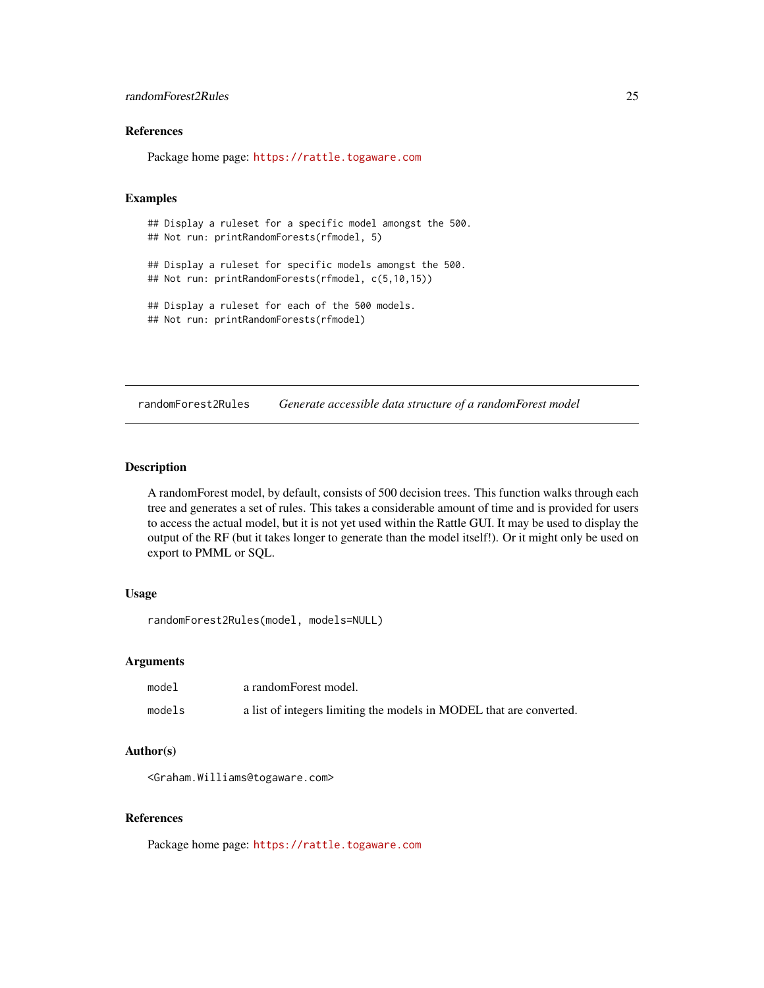# <span id="page-24-0"></span>randomForest2Rules 25

# References

Package home page: <https://rattle.togaware.com>

#### Examples

```
## Display a ruleset for a specific model amongst the 500.
## Not run: printRandomForests(rfmodel, 5)
## Display a ruleset for specific models amongst the 500.
## Not run: printRandomForests(rfmodel, c(5,10,15))
## Display a ruleset for each of the 500 models.
## Not run: printRandomForests(rfmodel)
```
randomForest2Rules *Generate accessible data structure of a randomForest model*

# Description

A randomForest model, by default, consists of 500 decision trees. This function walks through each tree and generates a set of rules. This takes a considerable amount of time and is provided for users to access the actual model, but it is not yet used within the Rattle GUI. It may be used to display the output of the RF (but it takes longer to generate than the model itself!). Or it might only be used on export to PMML or SQL.

#### Usage

```
randomForest2Rules(model, models=NULL)
```
#### Arguments

| model  | a randomForest model.                                               |
|--------|---------------------------------------------------------------------|
| models | a list of integers limiting the models in MODEL that are converted. |

#### Author(s)

<Graham.Williams@togaware.com>

#### References

Package home page: <https://rattle.togaware.com>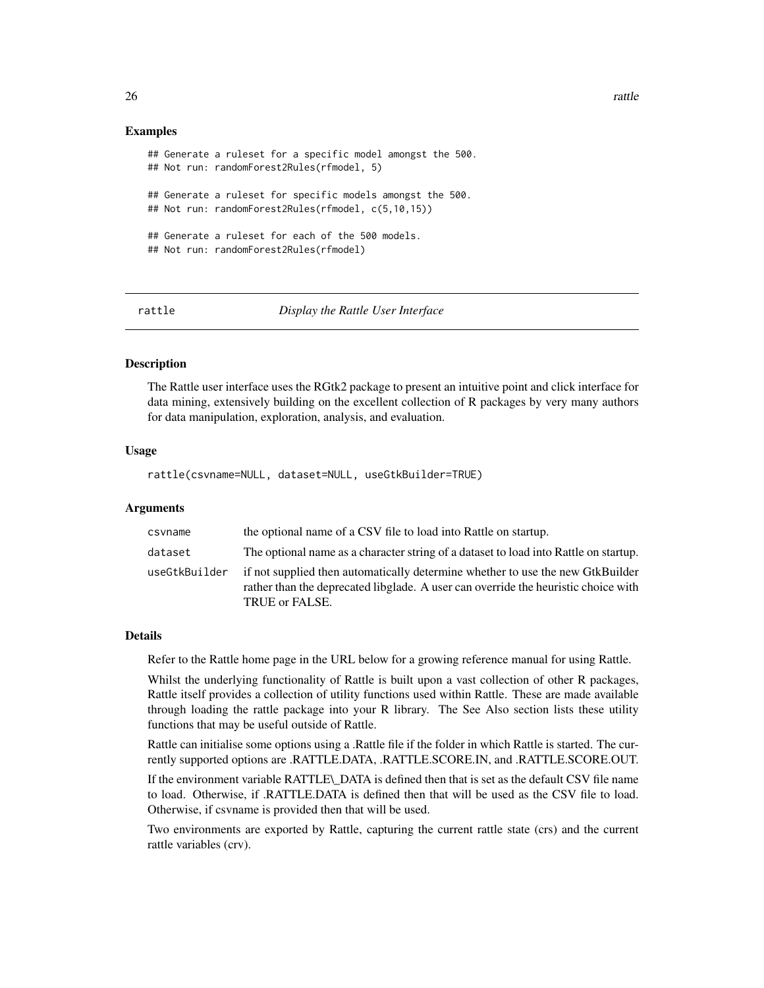#### Examples

```
## Generate a ruleset for a specific model amongst the 500.
## Not run: randomForest2Rules(rfmodel, 5)
## Generate a ruleset for specific models amongst the 500.
## Not run: randomForest2Rules(rfmodel, c(5,10,15))
## Generate a ruleset for each of the 500 models.
## Not run: randomForest2Rules(rfmodel)
```
<span id="page-25-1"></span>

rattle *Display the Rattle User Interface*

#### Description

The Rattle user interface uses the RGtk2 package to present an intuitive point and click interface for data mining, extensively building on the excellent collection of R packages by very many authors for data manipulation, exploration, analysis, and evaluation.

#### Usage

rattle(csvname=NULL, dataset=NULL, useGtkBuilder=TRUE)

#### Arguments

| csvname       | the optional name of a CSV file to load into Rattle on startup.                                                                                                                        |
|---------------|----------------------------------------------------------------------------------------------------------------------------------------------------------------------------------------|
| dataset       | The optional name as a character string of a dataset to load into Rattle on startup.                                                                                                   |
| useGtkBuilder | if not supplied then automatically determine whether to use the new GtkBuilder<br>rather than the deprecated libglade. A user can override the heuristic choice with<br>TRUE or FALSE. |

#### Details

Refer to the Rattle home page in the URL below for a growing reference manual for using Rattle.

Whilst the underlying functionality of Rattle is built upon a vast collection of other R packages, Rattle itself provides a collection of utility functions used within Rattle. These are made available through loading the rattle package into your R library. The See Also section lists these utility functions that may be useful outside of Rattle.

Rattle can initialise some options using a .Rattle file if the folder in which Rattle is started. The currently supported options are .RATTLE.DATA, .RATTLE.SCORE.IN, and .RATTLE.SCORE.OUT.

If the environment variable RATTLE\\_DATA is defined then that is set as the default CSV file name to load. Otherwise, if .RATTLE.DATA is defined then that will be used as the CSV file to load. Otherwise, if csvname is provided then that will be used.

Two environments are exported by Rattle, capturing the current rattle state (crs) and the current rattle variables (crv).

<span id="page-25-0"></span>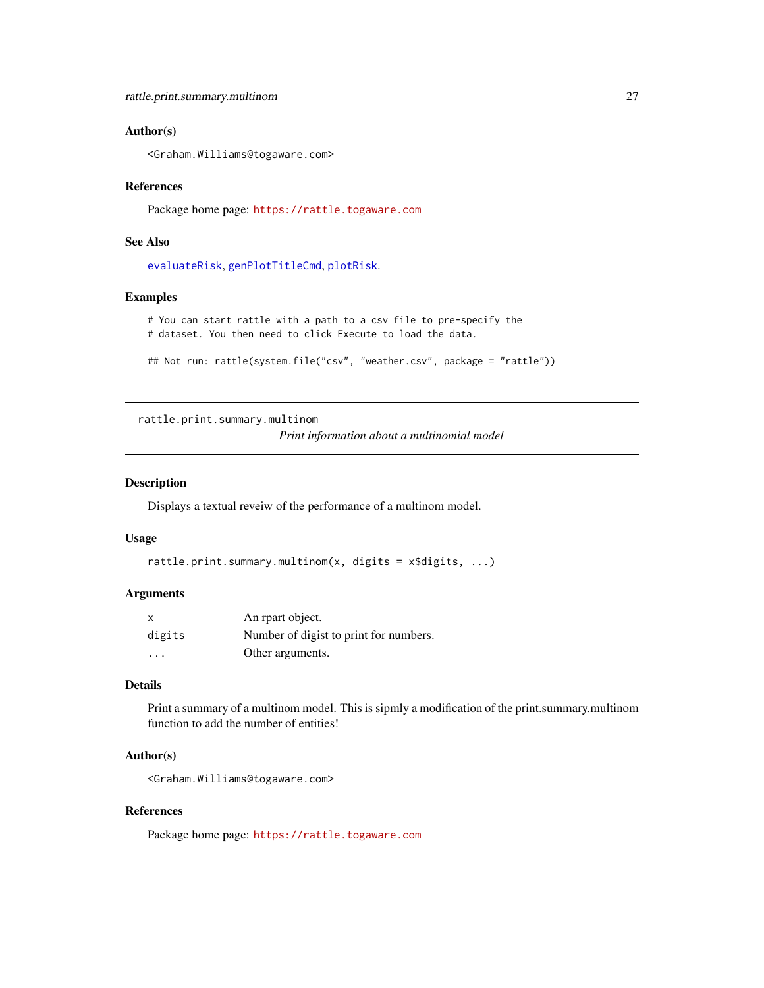# <span id="page-26-0"></span>Author(s)

<Graham.Williams@togaware.com>

#### References

Package home page: <https://rattle.togaware.com>

# See Also

[evaluateRisk](#page-13-1), [genPlotTitleCmd](#page-15-1), [plotRisk](#page-21-1).

#### Examples

```
# You can start rattle with a path to a csv file to pre-specify the
# dataset. You then need to click Execute to load the data.
```

```
## Not run: rattle(system.file("csv", "weather.csv", package = "rattle"))
```
rattle.print.summary.multinom

*Print information about a multinomial model*

# Description

Displays a textual reveiw of the performance of a multinom model.

#### Usage

```
rattle.print.summary.multinom(x, digits = x$digits, ...)
```
# Arguments

| x                       | An reart object.                       |
|-------------------------|----------------------------------------|
| digits                  | Number of digist to print for numbers. |
| $\cdot$ $\cdot$ $\cdot$ | Other arguments.                       |

# Details

Print a summary of a multinom model. This is sipmly a modification of the print.summary.multinom function to add the number of entities!

# Author(s)

<Graham.Williams@togaware.com>

# References

Package home page: <https://rattle.togaware.com>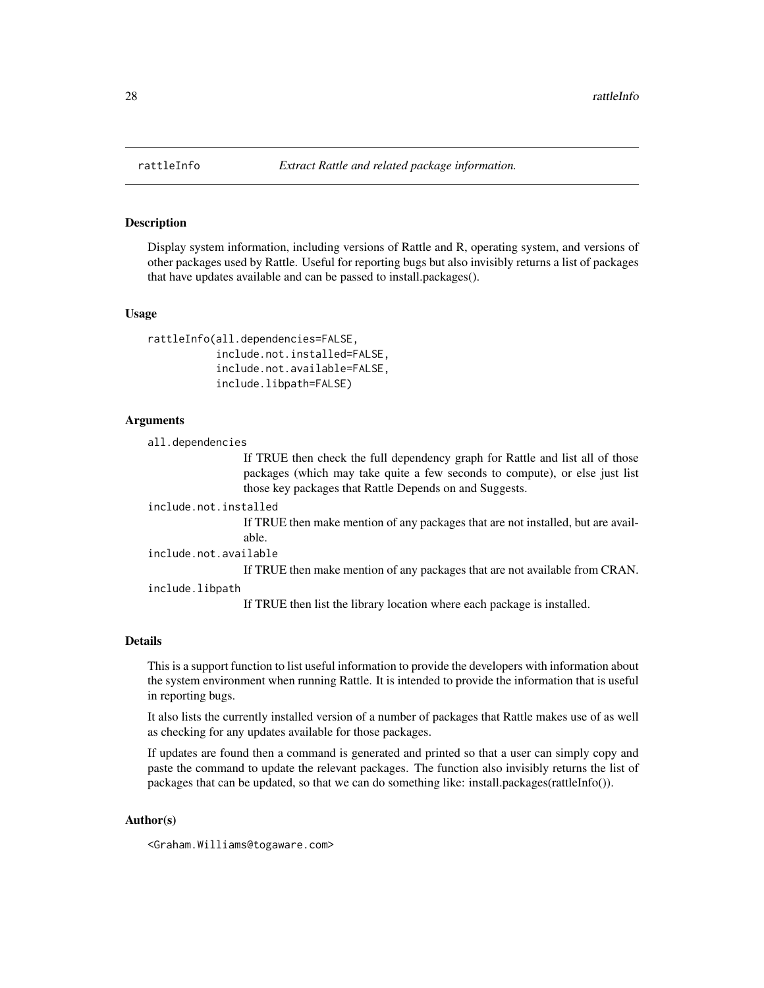<span id="page-27-0"></span>

Display system information, including versions of Rattle and R, operating system, and versions of other packages used by Rattle. Useful for reporting bugs but also invisibly returns a list of packages that have updates available and can be passed to install.packages().

#### Usage

```
rattleInfo(all.dependencies=FALSE,
           include.not.installed=FALSE,
           include.not.available=FALSE,
           include.libpath=FALSE)
```
#### Arguments

all.dependencies

If TRUE then check the full dependency graph for Rattle and list all of those packages (which may take quite a few seconds to compute), or else just list those key packages that Rattle Depends on and Suggests.

include.not.installed

If TRUE then make mention of any packages that are not installed, but are available.

include.not.available

If TRUE then make mention of any packages that are not available from CRAN.

include.libpath

If TRUE then list the library location where each package is installed.

#### Details

This is a support function to list useful information to provide the developers with information about the system environment when running Rattle. It is intended to provide the information that is useful in reporting bugs.

It also lists the currently installed version of a number of packages that Rattle makes use of as well as checking for any updates available for those packages.

If updates are found then a command is generated and printed so that a user can simply copy and paste the command to update the relevant packages. The function also invisibly returns the list of packages that can be updated, so that we can do something like: install.packages(rattleInfo()).

#### Author(s)

<Graham.Williams@togaware.com>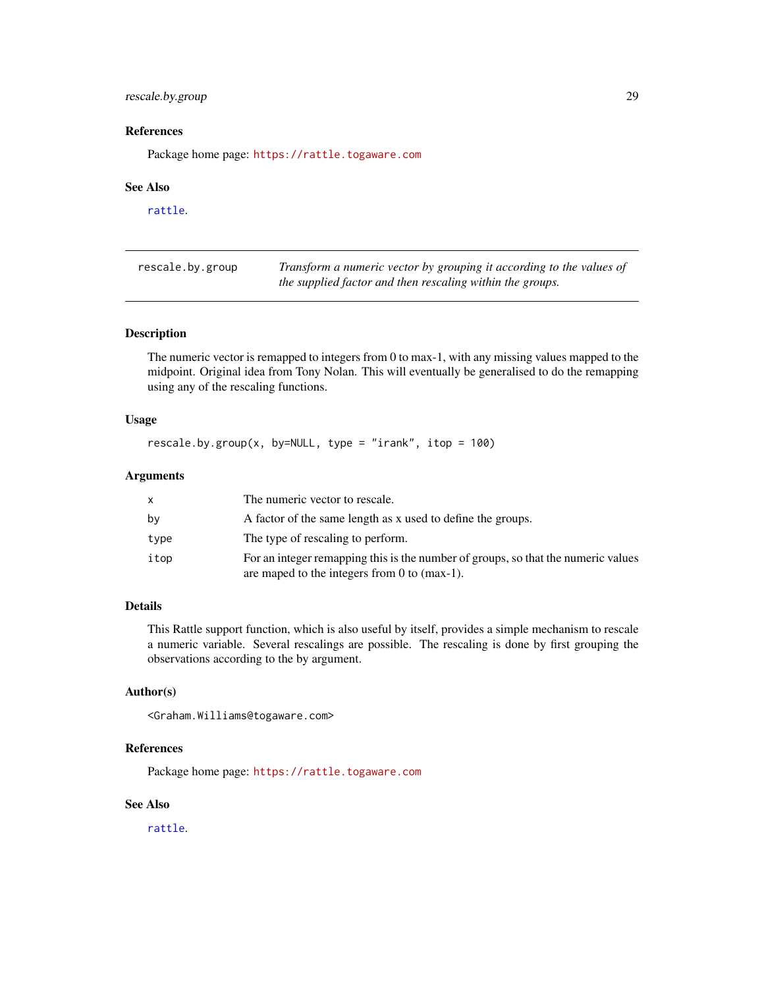# <span id="page-28-0"></span>rescale.by.group 29

# References

Package home page: <https://rattle.togaware.com>

#### See Also

[rattle](#page-25-1).

| rescale.by.group | Transform a numeric vector by grouping it according to the values of |
|------------------|----------------------------------------------------------------------|
|                  | the supplied factor and then rescaling within the groups.            |

# Description

The numeric vector is remapped to integers from 0 to max-1, with any missing values mapped to the midpoint. Original idea from Tony Nolan. This will eventually be generalised to do the remapping using any of the rescaling functions.

# Usage

```
rescale.by.group(x, by=NULL, type = "irank", itop = 100)
```
### Arguments

|      | The numeric vector to rescale.                                                                                                       |
|------|--------------------------------------------------------------------------------------------------------------------------------------|
| bν   | A factor of the same length as x used to define the groups.                                                                          |
| type | The type of rescaling to perform.                                                                                                    |
| itop | For an integer remapping this is the number of groups, so that the numeric values<br>are maped to the integers from 0 to $(max-1)$ . |

# Details

This Rattle support function, which is also useful by itself, provides a simple mechanism to rescale a numeric variable. Several rescalings are possible. The rescaling is done by first grouping the observations according to the by argument.

# Author(s)

```
<Graham.Williams@togaware.com>
```
# References

Package home page: <https://rattle.togaware.com>

#### See Also

[rattle](#page-25-1).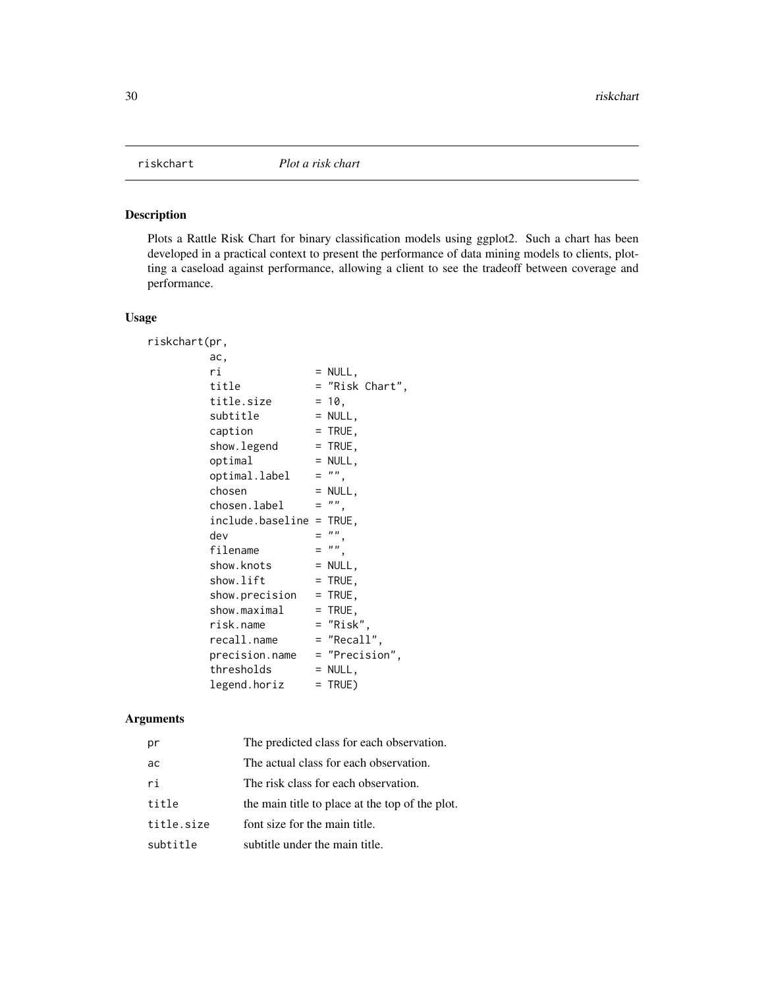<span id="page-29-0"></span>

Plots a Rattle Risk Chart for binary classification models using ggplot2. Such a chart has been developed in a practical context to present the performance of data mining models to clients, plotting a caseload against performance, allowing a client to see the tradeoff between coverage and performance.

# Usage

| riskchart(pr,               |     |                 |
|-----------------------------|-----|-----------------|
| ac,                         |     |                 |
| ri                          |     | $=$ NULL,       |
| title                       |     | = "Risk Chart". |
| title.size                  |     | $= 10,$         |
| subtitle                    |     | $=$ NULL,       |
| caption                     |     | $=$ TRUE,       |
| show.legend                 |     | $=$ TRUE,       |
| optimal                     |     | $=$ NULL,       |
| optimal.label               | $=$ | $\frac{n}{2}$   |
| chosen                      |     | $=$ NULL,       |
| chosen.label                | $=$ |                 |
| $include. baseline = TRUE,$ |     |                 |
| dev                         |     | ,, ,,           |
| filename                    | $=$ | ,, ,,           |
| show.knots                  |     | $=$ NULL,       |
| show.lift                   |     | $=$ TRUE,       |
| show.precision              |     | $=$ TRUE,       |
| show.maximal                |     | $=$ TRUE,       |
| risk.name                   |     | = "Risk",       |
| recall.name                 |     | = "Recall",     |
| precision.name              |     | = "Precision",  |
| thresholds                  |     | $=$ NULL,       |
| legend.horiz                |     | = TRUE)         |

# Arguments

| pr         | The predicted class for each observation.       |
|------------|-------------------------------------------------|
| ac         | The actual class for each observation.          |
| ri         | The risk class for each observation.            |
| title      | the main title to place at the top of the plot. |
| title.size | font size for the main title.                   |
| subtitle   | subtitle under the main title.                  |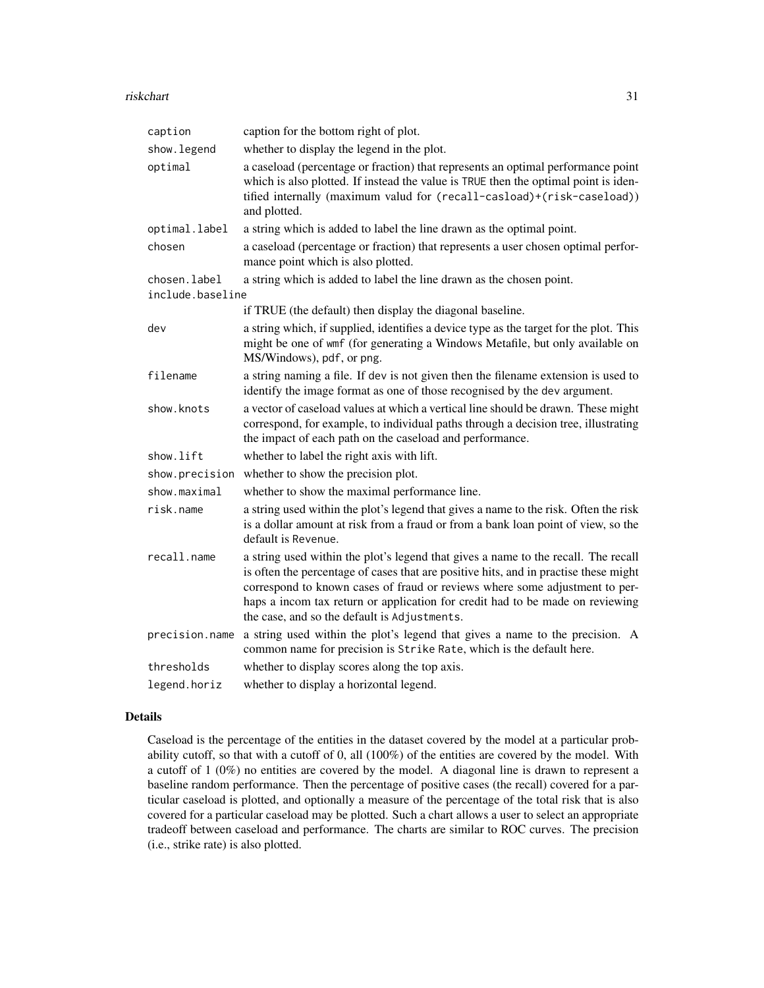#### riskchart 31

| caption          | caption for the bottom right of plot.                                                                                                                                                                                                                                                                                                                                                      |
|------------------|--------------------------------------------------------------------------------------------------------------------------------------------------------------------------------------------------------------------------------------------------------------------------------------------------------------------------------------------------------------------------------------------|
| show.legend      | whether to display the legend in the plot.                                                                                                                                                                                                                                                                                                                                                 |
| optimal          | a caseload (percentage or fraction) that represents an optimal performance point<br>which is also plotted. If instead the value is TRUE then the optimal point is iden-<br>tified internally (maximum valud for (recall-casload)+(risk-caseload))<br>and plotted.                                                                                                                          |
| optimal.label    | a string which is added to label the line drawn as the optimal point.                                                                                                                                                                                                                                                                                                                      |
| chosen           | a caseload (percentage or fraction) that represents a user chosen optimal perfor-<br>mance point which is also plotted.                                                                                                                                                                                                                                                                    |
| chosen.label     | a string which is added to label the line drawn as the chosen point.                                                                                                                                                                                                                                                                                                                       |
| include.baseline |                                                                                                                                                                                                                                                                                                                                                                                            |
|                  | if TRUE (the default) then display the diagonal baseline.                                                                                                                                                                                                                                                                                                                                  |
| dev              | a string which, if supplied, identifies a device type as the target for the plot. This<br>might be one of wmf (for generating a Windows Metafile, but only available on<br>MS/Windows), pdf, or png.                                                                                                                                                                                       |
| filename         | a string naming a file. If dev is not given then the filename extension is used to<br>identify the image format as one of those recognised by the dev argument.                                                                                                                                                                                                                            |
| show.knots       | a vector of caseload values at which a vertical line should be drawn. These might<br>correspond, for example, to individual paths through a decision tree, illustrating<br>the impact of each path on the caseload and performance.                                                                                                                                                        |
| show.lift        | whether to label the right axis with lift.                                                                                                                                                                                                                                                                                                                                                 |
| show.precision   | whether to show the precision plot.                                                                                                                                                                                                                                                                                                                                                        |
| show.maximal     | whether to show the maximal performance line.                                                                                                                                                                                                                                                                                                                                              |
| risk.name        | a string used within the plot's legend that gives a name to the risk. Often the risk<br>is a dollar amount at risk from a fraud or from a bank loan point of view, so the<br>default is Revenue.                                                                                                                                                                                           |
| recall.name      | a string used within the plot's legend that gives a name to the recall. The recall<br>is often the percentage of cases that are positive hits, and in practise these might<br>correspond to known cases of fraud or reviews where some adjustment to per-<br>haps a incom tax return or application for credit had to be made on reviewing<br>the case, and so the default is Adjustments. |
| precision.name   | a string used within the plot's legend that gives a name to the precision. A<br>common name for precision is Strike Rate, which is the default here.                                                                                                                                                                                                                                       |
| thresholds       | whether to display scores along the top axis.                                                                                                                                                                                                                                                                                                                                              |
| legend.horiz     | whether to display a horizontal legend.                                                                                                                                                                                                                                                                                                                                                    |

# Details

Caseload is the percentage of the entities in the dataset covered by the model at a particular probability cutoff, so that with a cutoff of 0, all (100%) of the entities are covered by the model. With a cutoff of 1 (0%) no entities are covered by the model. A diagonal line is drawn to represent a baseline random performance. Then the percentage of positive cases (the recall) covered for a particular caseload is plotted, and optionally a measure of the percentage of the total risk that is also covered for a particular caseload may be plotted. Such a chart allows a user to select an appropriate tradeoff between caseload and performance. The charts are similar to ROC curves. The precision (i.e., strike rate) is also plotted.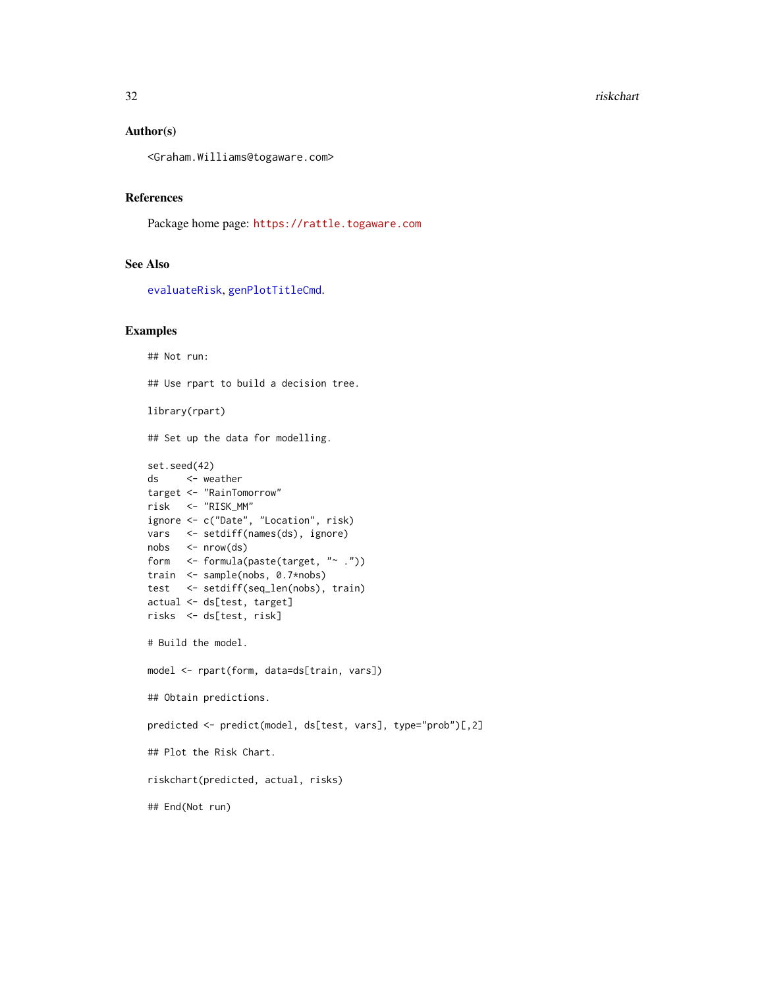#### <span id="page-31-0"></span>32 riskchart

#### Author(s)

<Graham.Williams@togaware.com>

#### References

Package home page: <https://rattle.togaware.com>

# See Also

[evaluateRisk](#page-13-1), [genPlotTitleCmd](#page-15-1).

#### Examples

```
## Not run:
## Use rpart to build a decision tree.
library(rpart)
## Set up the data for modelling.
set.seed(42)
ds <- weather
target <- "RainTomorrow"
risk <- "RISK_MM"
ignore <- c("Date", "Location", risk)
vars <- setdiff(names(ds), ignore)
nobs <- nrow(ds)
form <- formula(paste(target, "~ ."))
train <- sample(nobs, 0.7*nobs)
test <- setdiff(seq_len(nobs), train)
actual <- ds[test, target]
risks <- ds[test, risk]
# Build the model.
model <- rpart(form, data=ds[train, vars])
## Obtain predictions.
predicted <- predict(model, ds[test, vars], type="prob")[,2]
## Plot the Risk Chart.
riskchart(predicted, actual, risks)
## End(Not run)
```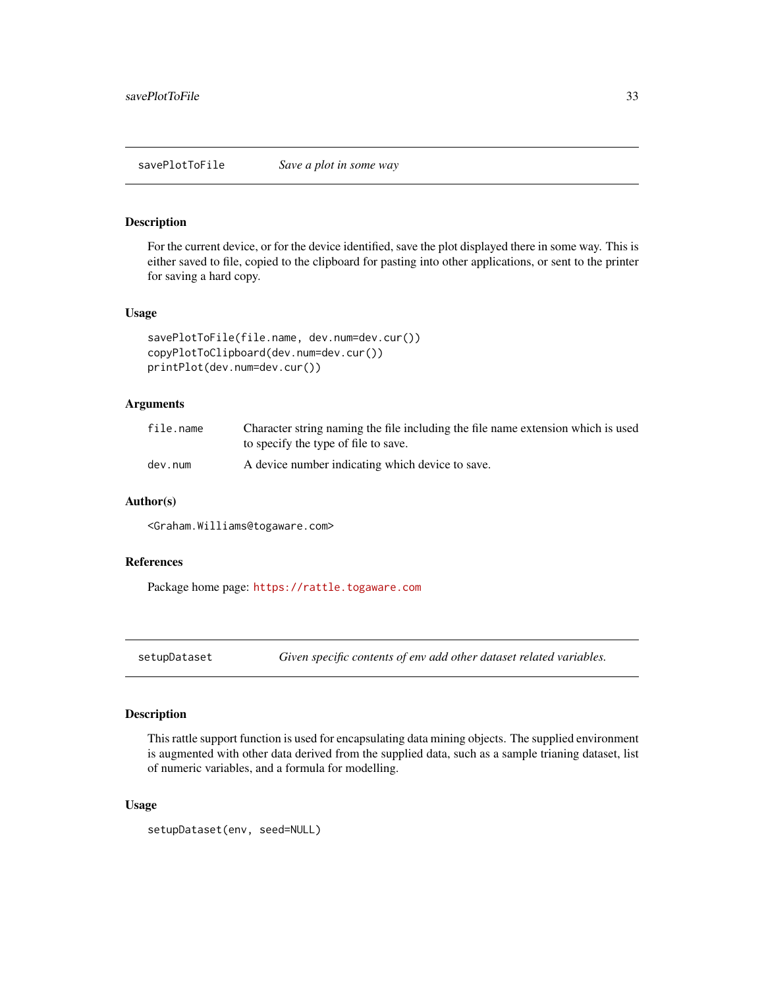<span id="page-32-0"></span>savePlotToFile *Save a plot in some way*

#### Description

For the current device, or for the device identified, save the plot displayed there in some way. This is either saved to file, copied to the clipboard for pasting into other applications, or sent to the printer for saving a hard copy.

#### Usage

```
savePlotToFile(file.name, dev.num=dev.cur())
copyPlotToClipboard(dev.num=dev.cur())
printPlot(dev.num=dev.cur())
```
# Arguments

| file.name | Character string naming the file including the file name extension which is used<br>to specify the type of file to save. |
|-----------|--------------------------------------------------------------------------------------------------------------------------|
| dev.num   | A device number indicating which device to save.                                                                         |

# Author(s)

<Graham.Williams@togaware.com>

# References

Package home page: <https://rattle.togaware.com>

setupDataset *Given specific contents of env add other dataset related variables.*

# Description

This rattle support function is used for encapsulating data mining objects. The supplied environment is augmented with other data derived from the supplied data, such as a sample trianing dataset, list of numeric variables, and a formula for modelling.

#### Usage

```
setupDataset(env, seed=NULL)
```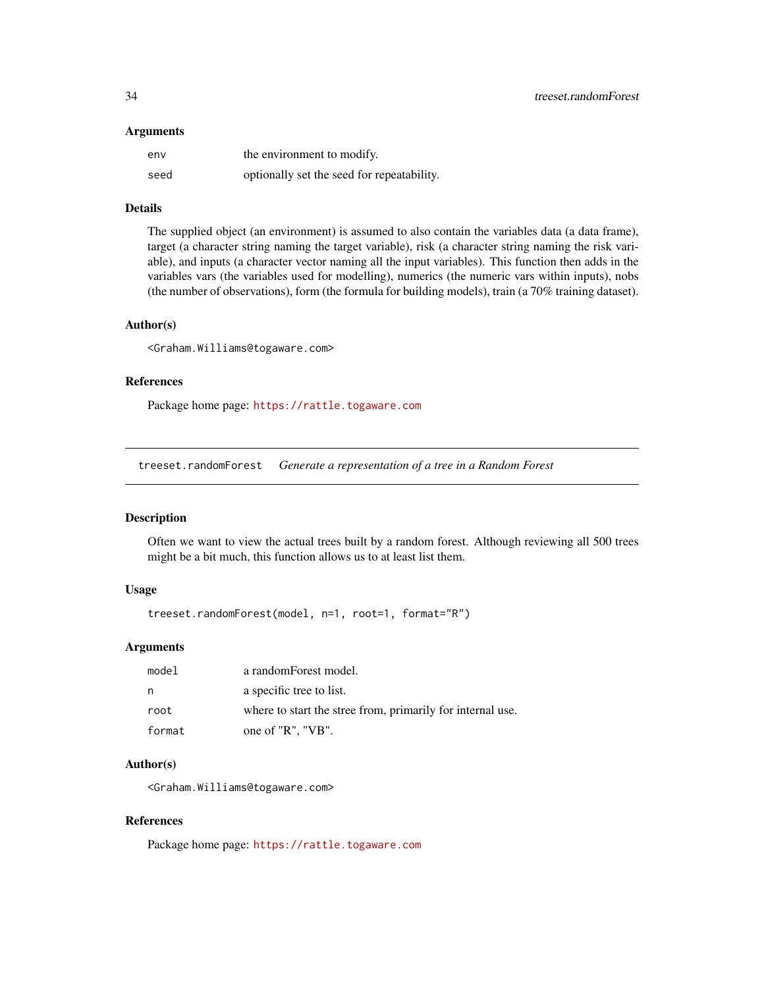#### <span id="page-33-0"></span>**Arguments**

| env  | the environment to modify.                 |
|------|--------------------------------------------|
| seed | optionally set the seed for repeatability. |

# Details

The supplied object (an environment) is assumed to also contain the variables data (a data frame), target (a character string naming the target variable), risk (a character string naming the risk variable), and inputs (a character vector naming all the input variables). This function then adds in the variables vars (the variables used for modelling), numerics (the numeric vars within inputs), nobs (the number of observations), form (the formula for building models), train (a 70% training dataset).

#### Author(s)

<Graham.Williams@togaware.com>

#### References

Package home page: <https://rattle.togaware.com>

treeset.randomForest *Generate a representation of a tree in a Random Forest*

#### Description

Often we want to view the actual trees built by a random forest. Although reviewing all 500 trees might be a bit much, this function allows us to at least list them.

#### Usage

```
treeset.randomForest(model, n=1, root=1, format="R")
```
#### Arguments

| model  | a randomForest model.                                      |
|--------|------------------------------------------------------------|
| n      | a specific tree to list.                                   |
| root   | where to start the stree from, primarily for internal use. |
| format | one of "R". "VB".                                          |

#### Author(s)

<Graham.Williams@togaware.com>

#### References

Package home page: <https://rattle.togaware.com>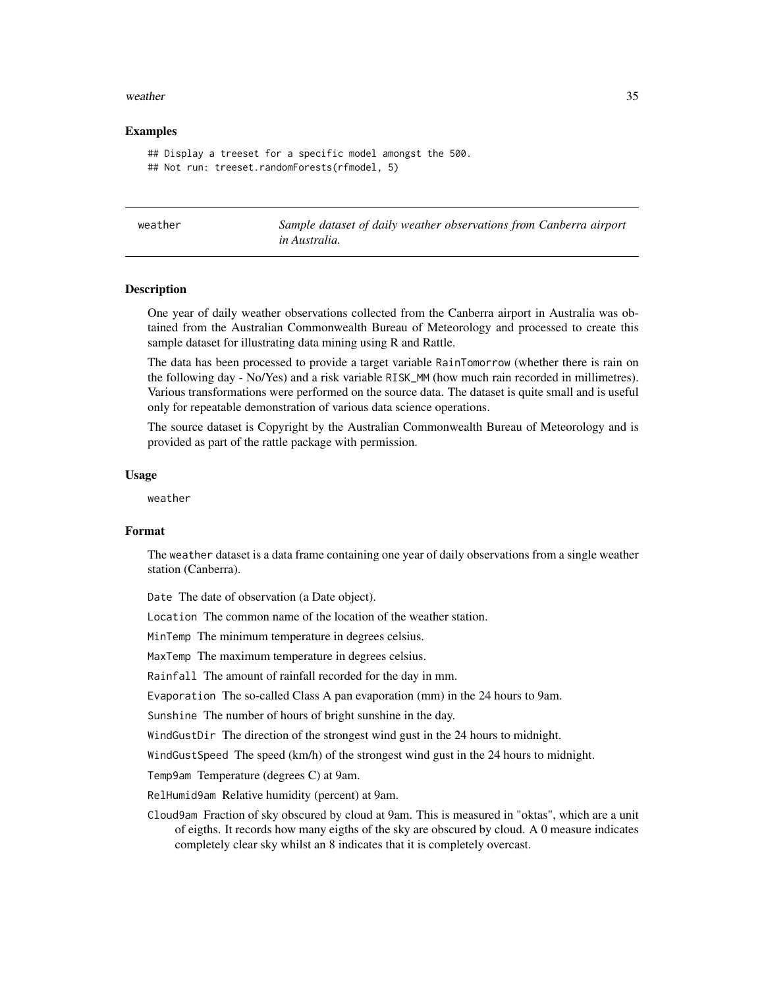#### <span id="page-34-0"></span>weather 35

#### Examples

```
## Display a treeset for a specific model amongst the 500.
## Not run: treeset.randomForests(rfmodel, 5)
```
<span id="page-34-1"></span>

Sample dataset of daily weather observations from Canberra airport *in Australia.*

#### Description

One year of daily weather observations collected from the Canberra airport in Australia was obtained from the Australian Commonwealth Bureau of Meteorology and processed to create this sample dataset for illustrating data mining using R and Rattle.

The data has been processed to provide a target variable RainTomorrow (whether there is rain on the following day - No/Yes) and a risk variable RISK\_MM (how much rain recorded in millimetres). Various transformations were performed on the source data. The dataset is quite small and is useful only for repeatable demonstration of various data science operations.

The source dataset is Copyright by the Australian Commonwealth Bureau of Meteorology and is provided as part of the rattle package with permission.

#### Usage

weather

#### Format

The weather dataset is a data frame containing one year of daily observations from a single weather station (Canberra).

Date The date of observation (a Date object).

Location The common name of the location of the weather station.

MinTemp The minimum temperature in degrees celsius.

MaxTemp The maximum temperature in degrees celsius.

Rainfall The amount of rainfall recorded for the day in mm.

Evaporation The so-called Class A pan evaporation (mm) in the 24 hours to 9am.

Sunshine The number of hours of bright sunshine in the day.

WindGustDir The direction of the strongest wind gust in the 24 hours to midnight.

WindGustSpeed The speed (km/h) of the strongest wind gust in the 24 hours to midnight.

Temp9am Temperature (degrees C) at 9am.

RelHumid9am Relative humidity (percent) at 9am.

Cloud9am Fraction of sky obscured by cloud at 9am. This is measured in "oktas", which are a unit of eigths. It records how many eigths of the sky are obscured by cloud. A 0 measure indicates completely clear sky whilst an 8 indicates that it is completely overcast.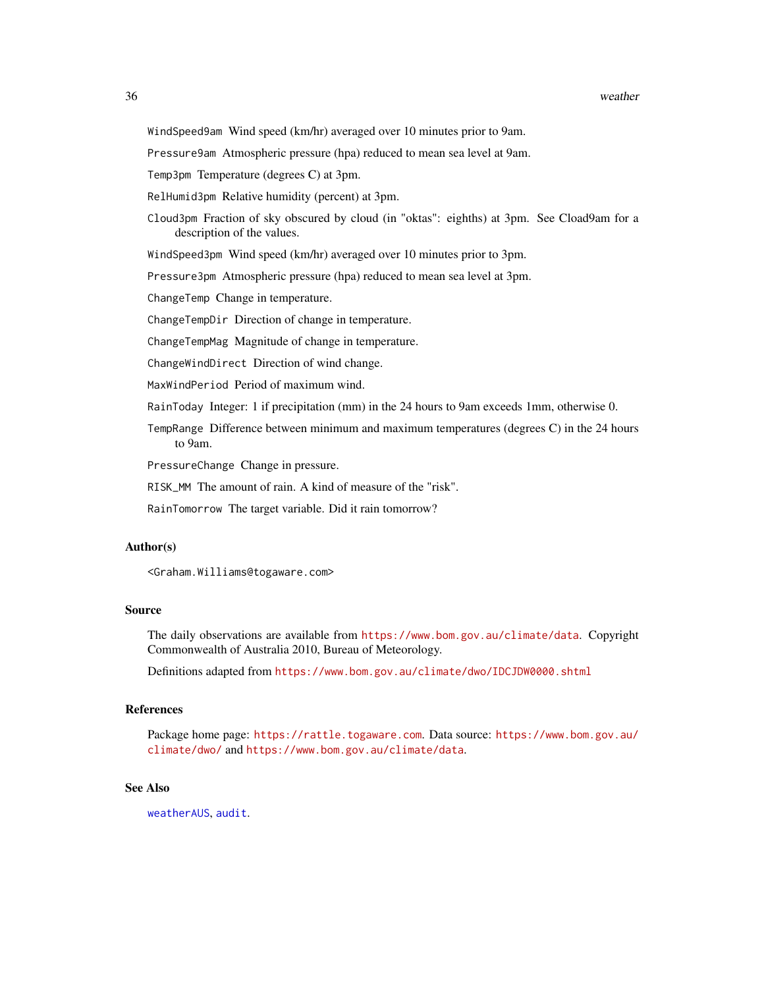<span id="page-35-0"></span>Pressure9am Atmospheric pressure (hpa) reduced to mean sea level at 9am.

Temp3pm Temperature (degrees C) at 3pm.

- RelHumid3pm Relative humidity (percent) at 3pm.
- Cloud3pm Fraction of sky obscured by cloud (in "oktas": eighths) at 3pm. See Cload9am for a description of the values.

WindSpeed3pm Wind speed (km/hr) averaged over 10 minutes prior to 3pm.

Pressure3pm Atmospheric pressure (hpa) reduced to mean sea level at 3pm.

ChangeTemp Change in temperature.

ChangeTempDir Direction of change in temperature.

ChangeTempMag Magnitude of change in temperature.

ChangeWindDirect Direction of wind change.

MaxWindPeriod Period of maximum wind.

RainToday Integer: 1 if precipitation (mm) in the 24 hours to 9am exceeds 1mm, otherwise 0.

TempRange Difference between minimum and maximum temperatures (degrees C) in the 24 hours to 9am.

PressureChange Change in pressure.

RISK\_MM The amount of rain. A kind of measure of the "risk".

RainTomorrow The target variable. Did it rain tomorrow?

#### Author(s)

<Graham.Williams@togaware.com>

# Source

The daily observations are available from <https://www.bom.gov.au/climate/data>. Copyright Commonwealth of Australia 2010, Bureau of Meteorology.

Definitions adapted from <https://www.bom.gov.au/climate/dwo/IDCJDW0000.shtml>

#### References

Package home page: <https://rattle.togaware.com>. Data source: [https://www.bom.gov.au/](https://www.bom.gov.au/climate/dwo/) [climate/dwo/](https://www.bom.gov.au/climate/dwo/) and <https://www.bom.gov.au/climate/data>.

#### See Also

[weatherAUS](#page-36-1), [audit](#page-5-1).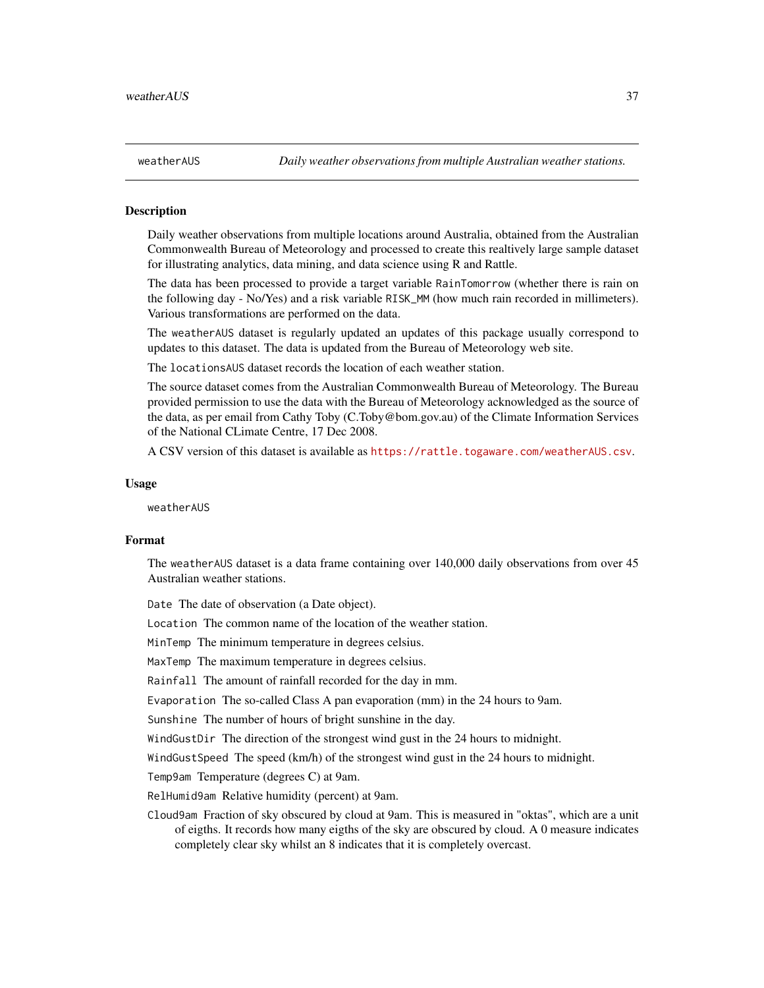<span id="page-36-1"></span><span id="page-36-0"></span>

Daily weather observations from multiple locations around Australia, obtained from the Australian Commonwealth Bureau of Meteorology and processed to create this realtively large sample dataset for illustrating analytics, data mining, and data science using R and Rattle.

The data has been processed to provide a target variable RainTomorrow (whether there is rain on the following day - No/Yes) and a risk variable RISK\_MM (how much rain recorded in millimeters). Various transformations are performed on the data.

The weatherAUS dataset is regularly updated an updates of this package usually correspond to updates to this dataset. The data is updated from the Bureau of Meteorology web site.

The locationsAUS dataset records the location of each weather station.

The source dataset comes from the Australian Commonwealth Bureau of Meteorology. The Bureau provided permission to use the data with the Bureau of Meteorology acknowledged as the source of the data, as per email from Cathy Toby (C.Toby@bom.gov.au) of the Climate Information Services of the National CLimate Centre, 17 Dec 2008.

A CSV version of this dataset is available as <https://rattle.togaware.com/weatherAUS.csv>.

#### Usage

weatherAUS

#### Format

The weatherAUS dataset is a data frame containing over 140,000 daily observations from over 45 Australian weather stations.

Date The date of observation (a Date object).

Location The common name of the location of the weather station.

MinTemp The minimum temperature in degrees celsius.

MaxTemp The maximum temperature in degrees celsius.

Rainfall The amount of rainfall recorded for the day in mm.

Evaporation The so-called Class A pan evaporation (mm) in the 24 hours to 9am.

Sunshine The number of hours of bright sunshine in the day.

WindGustDir The direction of the strongest wind gust in the 24 hours to midnight.

WindGustSpeed The speed (km/h) of the strongest wind gust in the 24 hours to midnight.

Temp9am Temperature (degrees C) at 9am.

RelHumid9am Relative humidity (percent) at 9am.

Cloud9am Fraction of sky obscured by cloud at 9am. This is measured in "oktas", which are a unit of eigths. It records how many eigths of the sky are obscured by cloud. A 0 measure indicates completely clear sky whilst an 8 indicates that it is completely overcast.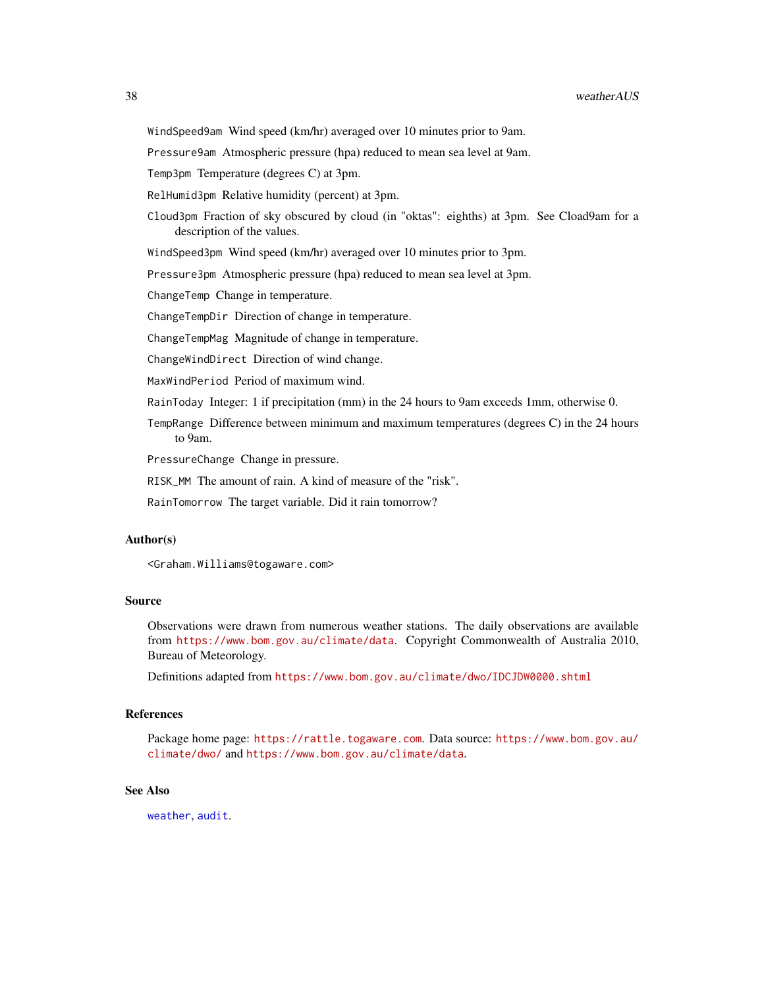<span id="page-37-0"></span>Pressure9am Atmospheric pressure (hpa) reduced to mean sea level at 9am.

Temp3pm Temperature (degrees C) at 3pm.

RelHumid3pm Relative humidity (percent) at 3pm.

Cloud3pm Fraction of sky obscured by cloud (in "oktas": eighths) at 3pm. See Cload9am for a description of the values.

WindSpeed3pm Wind speed (km/hr) averaged over 10 minutes prior to 3pm.

Pressure3pm Atmospheric pressure (hpa) reduced to mean sea level at 3pm.

ChangeTemp Change in temperature.

ChangeTempDir Direction of change in temperature.

ChangeTempMag Magnitude of change in temperature.

ChangeWindDirect Direction of wind change.

MaxWindPeriod Period of maximum wind.

RainToday Integer: 1 if precipitation (mm) in the 24 hours to 9am exceeds 1mm, otherwise 0.

TempRange Difference between minimum and maximum temperatures (degrees C) in the 24 hours to 9am.

PressureChange Change in pressure.

RISK\_MM The amount of rain. A kind of measure of the "risk".

RainTomorrow The target variable. Did it rain tomorrow?

#### Author(s)

<Graham.Williams@togaware.com>

#### Source

Observations were drawn from numerous weather stations. The daily observations are available from <https://www.bom.gov.au/climate/data>. Copyright Commonwealth of Australia 2010, Bureau of Meteorology.

Definitions adapted from <https://www.bom.gov.au/climate/dwo/IDCJDW0000.shtml>

#### References

Package home page: <https://rattle.togaware.com>. Data source: [https://www.bom.gov.au/](https://www.bom.gov.au/climate/dwo/) [climate/dwo/](https://www.bom.gov.au/climate/dwo/) and <https://www.bom.gov.au/climate/data>.

#### See Also

[weather](#page-34-1), [audit](#page-5-1).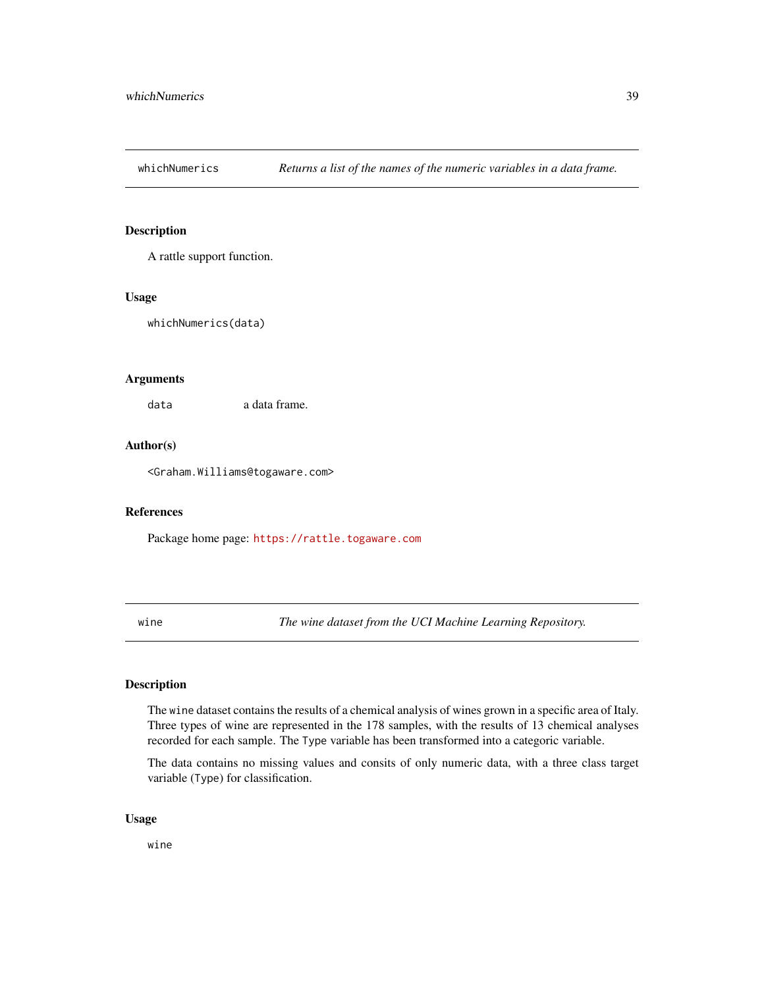<span id="page-38-0"></span>

A rattle support function.

### Usage

whichNumerics(data)

# Arguments

data a data frame.

# Author(s)

<Graham.Williams@togaware.com>

#### References

Package home page: <https://rattle.togaware.com>

wine *The wine dataset from the UCI Machine Learning Repository.*

#### Description

The wine dataset contains the results of a chemical analysis of wines grown in a specific area of Italy. Three types of wine are represented in the 178 samples, with the results of 13 chemical analyses recorded for each sample. The Type variable has been transformed into a categoric variable.

The data contains no missing values and consits of only numeric data, with a three class target variable (Type) for classification.

# Usage

wine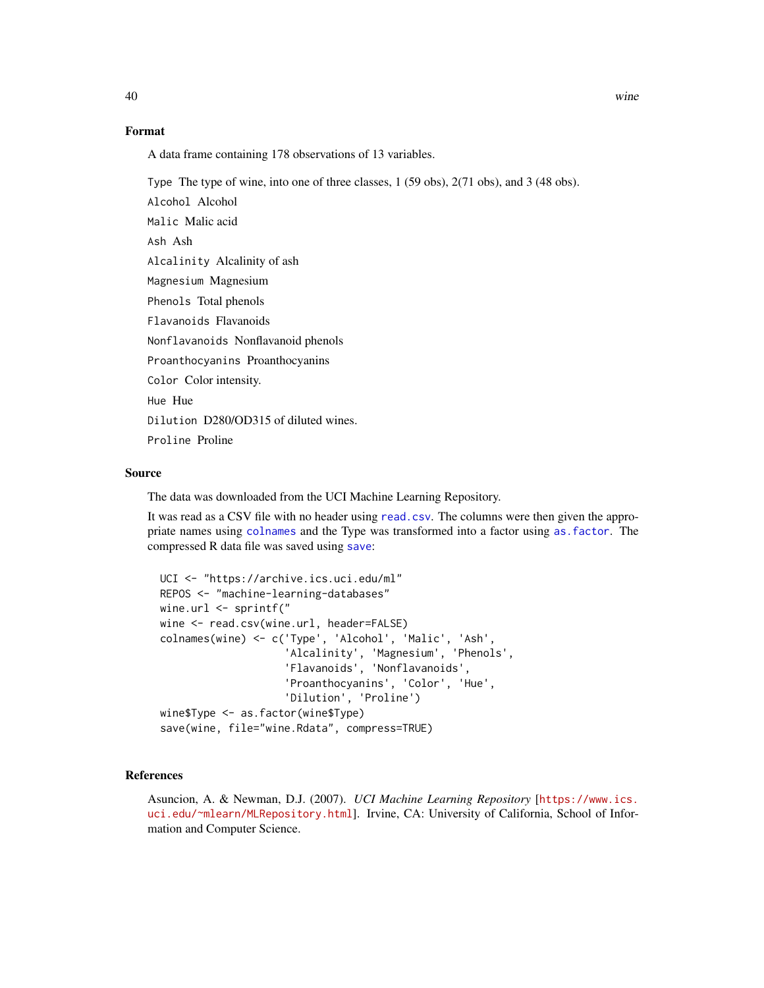# <span id="page-39-0"></span>Format

A data frame containing 178 observations of 13 variables.

Type The type of wine, into one of three classes, 1 (59 obs), 2(71 obs), and 3 (48 obs).

Alcohol Alcohol Malic Malic acid Ash Ash Alcalinity Alcalinity of ash Magnesium Magnesium Phenols Total phenols Flavanoids Flavanoids Nonflavanoids Nonflavanoid phenols Proanthocyanins Proanthocyanins Color Color intensity. Hue Hue Dilution D280/OD315 of diluted wines. Proline Proline

#### Source

The data was downloaded from the UCI Machine Learning Repository.

It was read as a CSV file with no header using [read.csv](#page-0-0). The columns were then given the appropriate names using [colnames](#page-0-0) and the Type was transformed into a factor using [as.factor](#page-0-0). The compressed R data file was saved using [save](#page-0-0):

```
UCI <- "https://archive.ics.uci.edu/ml"
REPOS <- "machine-learning-databases"
wine.url <- sprintf("
wine <- read.csv(wine.url, header=FALSE)
colnames(wine) <- c('Type', 'Alcohol', 'Malic', 'Ash',
                    'Alcalinity', 'Magnesium', 'Phenols',
                    'Flavanoids', 'Nonflavanoids',
                    'Proanthocyanins', 'Color', 'Hue',
                    'Dilution', 'Proline')
wine$Type <- as.factor(wine$Type)
save(wine, file="wine.Rdata", compress=TRUE)
```
#### References

Asuncion, A. & Newman, D.J. (2007). *UCI Machine Learning Repository* [[https://www.ics.](https://www.ics.uci.edu/~mlearn/MLRepository.html) [uci.edu/~mlearn/MLRepository.html](https://www.ics.uci.edu/~mlearn/MLRepository.html)]. Irvine, CA: University of California, School of Information and Computer Science.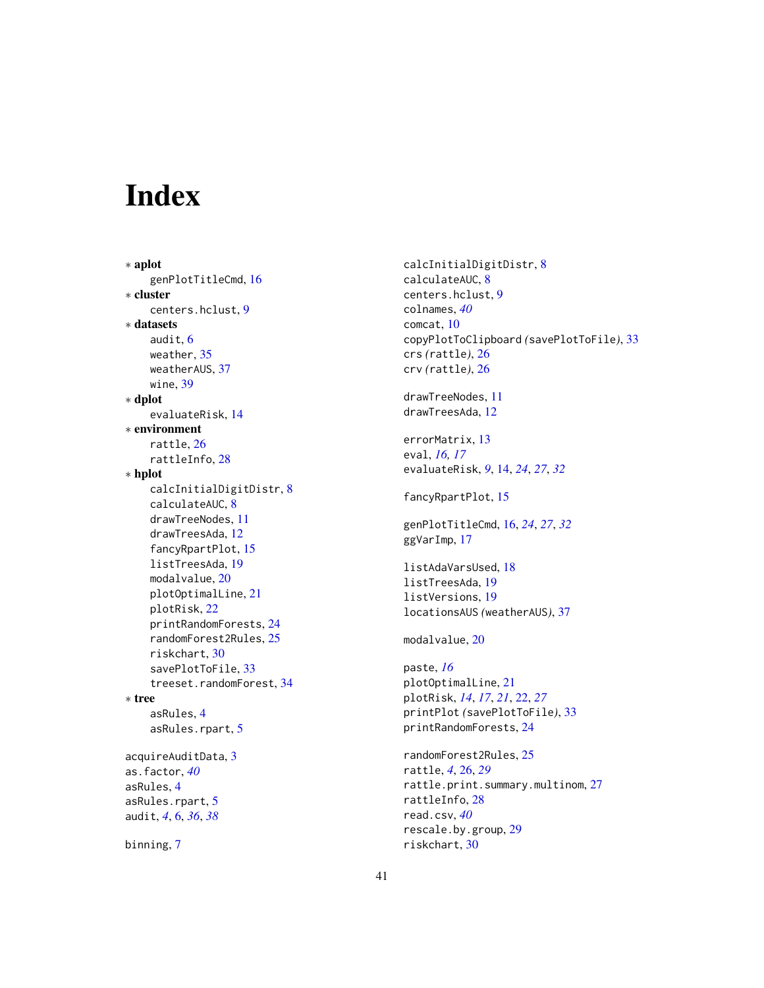# <span id="page-40-0"></span>Index

∗ aplot genPlotTitleCmd, [16](#page-15-0) ∗ cluster centers.hclust, [9](#page-8-0) ∗ datasets audit, [6](#page-5-0) weather, [35](#page-34-0) weatherAUS, [37](#page-36-0) wine, [39](#page-38-0) ∗ dplot evaluateRisk, [14](#page-13-0) ∗ environment rattle, [26](#page-25-0) rattleInfo, [28](#page-27-0) ∗ hplot calcInitialDigitDistr, [8](#page-7-0) calculateAUC, [8](#page-7-0) drawTreeNodes, [11](#page-10-0) drawTreesAda, [12](#page-11-0) fancyRpartPlot, [15](#page-14-0) listTreesAda, [19](#page-18-0) modalvalue, [20](#page-19-0) plotOptimalLine, [21](#page-20-0) plotRisk, [22](#page-21-0) printRandomForests, [24](#page-23-0) randomForest2Rules, [25](#page-24-0) riskchart, [30](#page-29-0) savePlotToFile, [33](#page-32-0) treeset.randomForest, [34](#page-33-0) ∗ tree asRules, [4](#page-3-0) asRules.rpart, [5](#page-4-0) acquireAuditData, [3](#page-2-0) as.factor, *[40](#page-39-0)* asRules, [4](#page-3-0) asRules.rpart, [5](#page-4-0) audit, *[4](#page-3-0)*, [6,](#page-5-0) *[36](#page-35-0)*, *[38](#page-37-0)* binning, [7](#page-6-0)

calcInitialDigitDistr, [8](#page-7-0) calculateAUC, [8](#page-7-0) centers.hclust, [9](#page-8-0) colnames, *[40](#page-39-0)* comcat, [10](#page-9-0) copyPlotToClipboard *(*savePlotToFile*)*, [33](#page-32-0) crs *(*rattle*)*, [26](#page-25-0) crv *(*rattle*)*, [26](#page-25-0) drawTreeNodes, [11](#page-10-0) drawTreesAda, [12](#page-11-0) errorMatrix, [13](#page-12-0) eval, *[16,](#page-15-0) [17](#page-16-0)* evaluateRisk, *[9](#page-8-0)*, [14,](#page-13-0) *[24](#page-23-0)*, *[27](#page-26-0)*, *[32](#page-31-0)* fancyRpartPlot, [15](#page-14-0) genPlotTitleCmd, [16,](#page-15-0) *[24](#page-23-0)*, *[27](#page-26-0)*, *[32](#page-31-0)* ggVarImp, [17](#page-16-0) listAdaVarsUsed, [18](#page-17-0) listTreesAda, [19](#page-18-0) listVersions, [19](#page-18-0) locationsAUS *(*weatherAUS*)*, [37](#page-36-0) modalvalue, [20](#page-19-0) paste, *[16](#page-15-0)* plotOptimalLine, [21](#page-20-0) plotRisk, *[14](#page-13-0)*, *[17](#page-16-0)*, *[21](#page-20-0)*, [22,](#page-21-0) *[27](#page-26-0)* printPlot *(*savePlotToFile*)*, [33](#page-32-0) printRandomForests, [24](#page-23-0) randomForest2Rules, [25](#page-24-0) rattle, *[4](#page-3-0)*, [26,](#page-25-0) *[29](#page-28-0)* rattle.print.summary.multinom, [27](#page-26-0) rattleInfo, [28](#page-27-0) read.csv, *[40](#page-39-0)* rescale.by.group, [29](#page-28-0) riskchart, [30](#page-29-0)